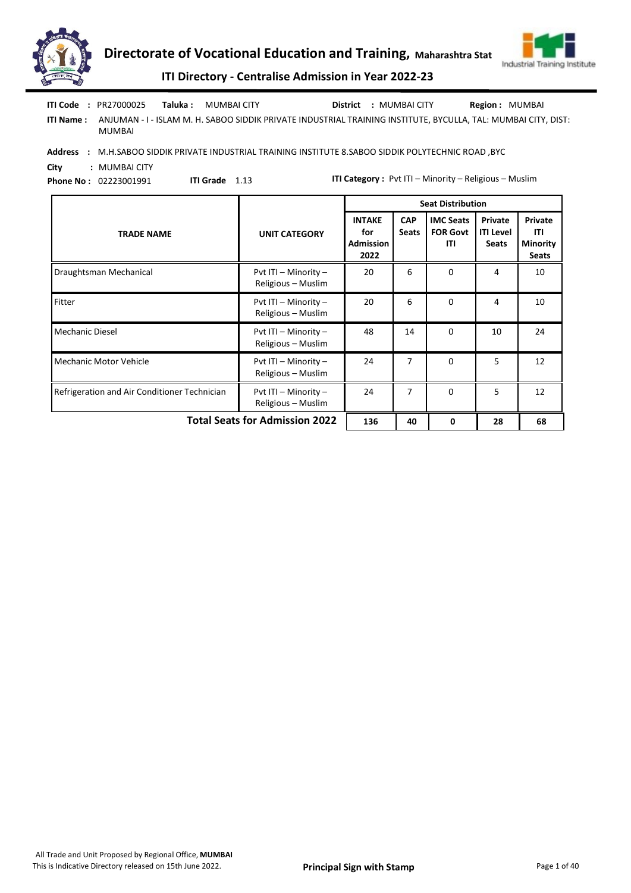



|            | <b>ITI Code : PR27000025</b> | Taluka : | MUMBAI CITY                                                                                                    | <b>District : MUMBAI CITY</b> | <b>Region: MUMBAI</b> |
|------------|------------------------------|----------|----------------------------------------------------------------------------------------------------------------|-------------------------------|-----------------------|
| ITI Name : | MUMBAI                       |          | ANJUMAN - I - ISLAM M. H. SABOO SIDDIK PRIVATE INDUSTRIAL TRAINING INSTITUTE. BYCULLA. TAL: MUMBAI CITY. DIST: |                               |                       |

Address : M.H.SABOO SIDDIK PRIVATE INDUSTRIAL TRAINING INSTITUTE 8.SABOO SIDDIK POLYTECHNIC ROAD, BYC

City : MUMBAI CITY Phone No : 02223001991

ITI Grade 1.13

|                                              |                                            |                                           |                            | <b>Seat Distribution</b>                   |                                             |                                                   |
|----------------------------------------------|--------------------------------------------|-------------------------------------------|----------------------------|--------------------------------------------|---------------------------------------------|---------------------------------------------------|
| <b>TRADE NAME</b>                            | <b>UNIT CATEGORY</b>                       | <b>INTAKE</b><br>for<br>Admission<br>2022 | <b>CAP</b><br><b>Seats</b> | <b>IMC Seats</b><br><b>FOR Govt</b><br>ITI | Private<br><b>ITI Level</b><br><b>Seats</b> | Private<br>ITI<br><b>Minority</b><br><b>Seats</b> |
| Draughtsman Mechanical                       | Pvt ITI - Minority -<br>Religious - Muslim | 20                                        | 6                          | $\Omega$                                   | 4                                           | 10                                                |
| Fitter                                       | Pvt ITI - Minority -<br>Religious - Muslim | 20                                        | 6                          | $\Omega$                                   | 4                                           | 10                                                |
| <b>Mechanic Diesel</b>                       | Pvt ITI - Minority -<br>Religious – Muslim | 48                                        | 14                         | $\Omega$                                   | 10                                          | 24                                                |
| <b>Mechanic Motor Vehicle</b>                | Pvt ITI - Minority -<br>Religious - Muslim | 24                                        | 7                          | $\Omega$                                   | 5                                           | 12                                                |
| Refrigeration and Air Conditioner Technician | Pvt ITI - Minority -<br>Religious - Muslim | 24                                        | 7                          | $\Omega$                                   | 5                                           | 12                                                |
| <b>Total Seats for Admission 2022</b>        |                                            |                                           | 40                         | 0                                          | 28                                          | 68                                                |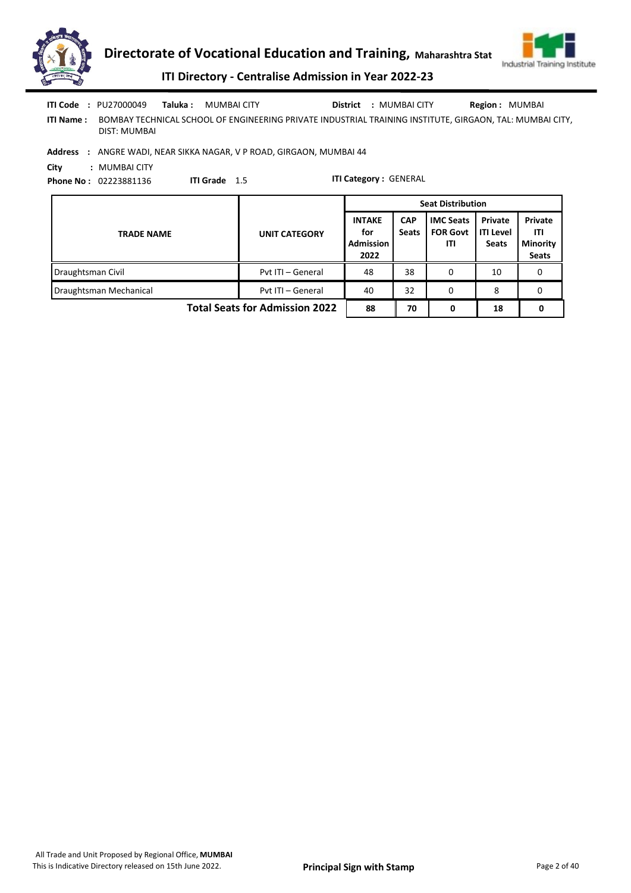

|                  | <b>ITI Code : PU27000049 Taluka : MUMBAI CITY</b> |               |                                                                                                          |  | <b>District : MUMBAI CITY</b> | <b>Region: MUMBAI</b> |
|------------------|---------------------------------------------------|---------------|----------------------------------------------------------------------------------------------------------|--|-------------------------------|-----------------------|
| <b>ITI Name:</b> | DIST: MUMBAI                                      |               | BOMBAY TECHNICAL SCHOOL OF ENGINEERING PRIVATE INDUSTRIAL TRAINING INSTITUTE, GIRGAON, TAL: MUMBAI CITY, |  |                               |                       |
|                  |                                                   |               | Address : ANGRE WADI, NEAR SIKKA NAGAR, V P ROAD, GIRGAON, MUMBAI 44                                     |  |                               |                       |
| City             | : MUMBAI CITY                                     |               |                                                                                                          |  |                               |                       |
|                  | <b>Phone No: 02223881136</b>                      | ITI Grade 1.5 |                                                                                                          |  | <b>ITI Category: GENERAL</b>  |                       |

|                                       |                      | <b>Seat Distribution</b>                         |                            |                                            |                                             |                                                   |  |  |
|---------------------------------------|----------------------|--------------------------------------------------|----------------------------|--------------------------------------------|---------------------------------------------|---------------------------------------------------|--|--|
| <b>TRADE NAME</b>                     | <b>UNIT CATEGORY</b> | <b>INTAKE</b><br>for<br><b>Admission</b><br>2022 | <b>CAP</b><br><b>Seats</b> | <b>IMC Seats</b><br><b>FOR Govt</b><br>ITI | Private<br><b>ITI Level</b><br><b>Seats</b> | Private<br>ITI<br><b>Minority</b><br><b>Seats</b> |  |  |
| Draughtsman Civil                     | Pyt ITI - General    | 48                                               | 38                         |                                            | 10                                          | 0                                                 |  |  |
| Draughtsman Mechanical                | Pyt ITI - General    | 40                                               | 32                         | 0                                          | 8                                           | 0                                                 |  |  |
| <b>Total Seats for Admission 2022</b> |                      |                                                  | 70                         | 0                                          | 18                                          |                                                   |  |  |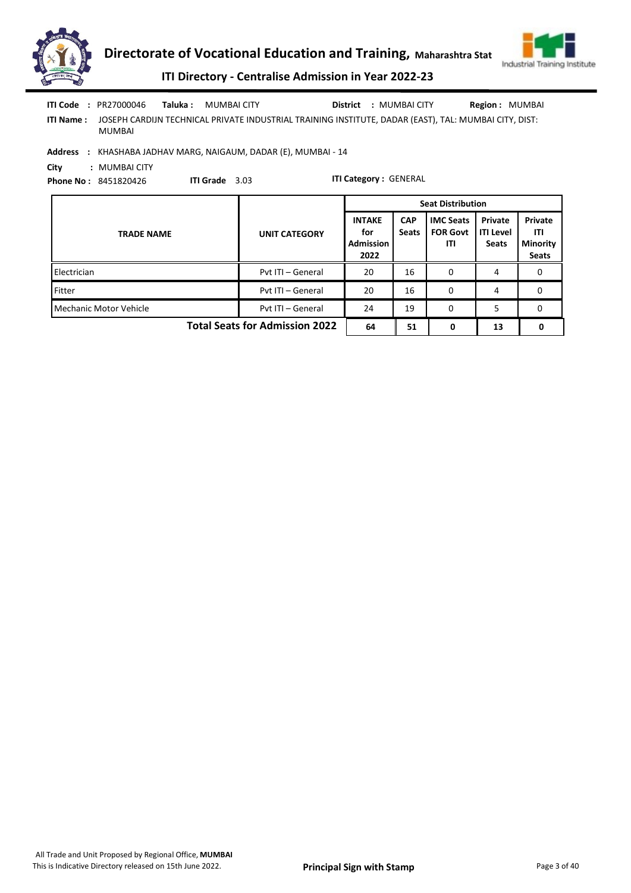

ITI Name : JOSEPH CARDIJN TECHNICAL PRIVATE INDUSTRIAL TRAINING INSTITUTE, DADAR (EAST), TAL: MUMBAI CITY, DIST: MUMBAI

Address : KHASHABA JADHAV MARG, NAIGAUM, DADAR (E), MUMBAI - 14

City : MUMBAI CITY

Phone No : 8451820426 ITI Grade 3.03

|                                       |                      | <b>Seat Distribution</b>                         |                            |                                            |                                             |                                                   |  |  |
|---------------------------------------|----------------------|--------------------------------------------------|----------------------------|--------------------------------------------|---------------------------------------------|---------------------------------------------------|--|--|
| <b>TRADE NAME</b>                     | <b>UNIT CATEGORY</b> | <b>INTAKE</b><br>for<br><b>Admission</b><br>2022 | <b>CAP</b><br><b>Seats</b> | <b>IMC Seats</b><br><b>FOR Govt</b><br>ITI | Private<br><b>ITI Level</b><br><b>Seats</b> | Private<br>ITI<br><b>Minority</b><br><b>Seats</b> |  |  |
| Electrician                           | Pvt ITI - General    | 20                                               | 16                         | 0                                          | 4                                           | 0                                                 |  |  |
| Fitter                                | Pvt ITI - General    | 20                                               | 16                         | 0                                          | 4                                           | 0                                                 |  |  |
| Mechanic Motor Vehicle                | Pvt ITI - General    | 24                                               | 19                         | 0                                          | 5                                           | 0                                                 |  |  |
| <b>Total Seats for Admission 2022</b> |                      |                                                  | 51                         | 0                                          | 13                                          | 0                                                 |  |  |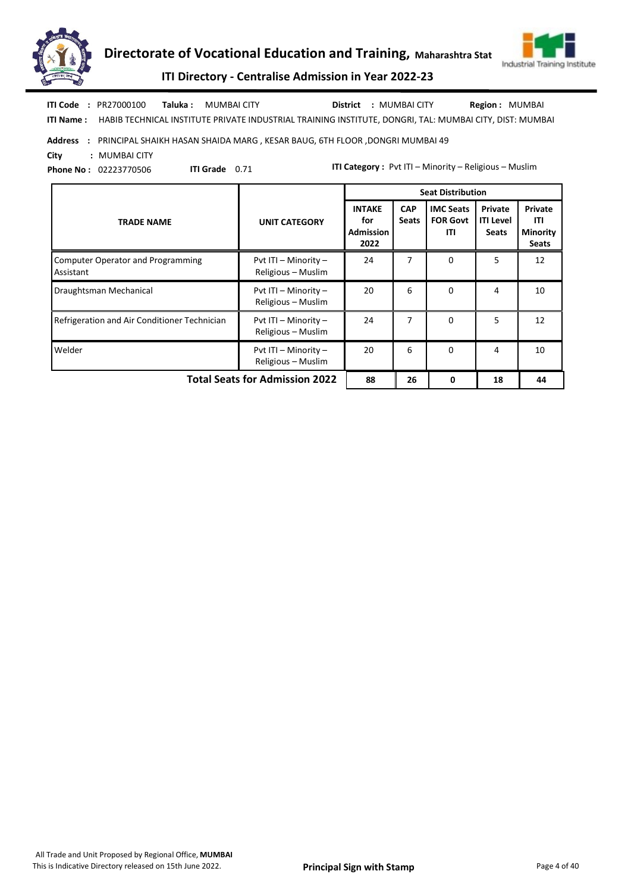



ITI Directory - Centralise Admission in Year 2022-23

ITI Name : HABIB TECHNICAL INSTITUTE PRIVATE INDUSTRIAL TRAINING INSTITUTE, DONGRI, TAL: MUMBAI CITY, DIST: MUMBAI Taluka : MUMBAI CITY District : MUMBAI CITY ITI Code : PR27000100 Region : MUMBAI

Address : PRINCIPAL SHAIKH HASAN SHAIDA MARG , KESAR BAUG, 6TH FLOOR ,DONGRI MUMBAI 49

City : MUMBAI CITY

Phone No : 02223770506

ITI Grade 0.71

|                                                       |                                            | <b>Seat Distribution</b>                         |                            |                                            |                                             |                                                   |
|-------------------------------------------------------|--------------------------------------------|--------------------------------------------------|----------------------------|--------------------------------------------|---------------------------------------------|---------------------------------------------------|
| <b>TRADE NAME</b>                                     | <b>UNIT CATEGORY</b>                       | <b>INTAKE</b><br>for<br><b>Admission</b><br>2022 | <b>CAP</b><br><b>Seats</b> | <b>IMC Seats</b><br><b>FOR Govt</b><br>ITI | Private<br><b>ITI Level</b><br><b>Seats</b> | Private<br>ITI<br><b>Minority</b><br><b>Seats</b> |
| <b>Computer Operator and Programming</b><br>Assistant | Pvt ITI - Minority -<br>Religious - Muslim | 24                                               | 7                          | $\Omega$                                   | 5.                                          | 12                                                |
| Draughtsman Mechanical                                | Pvt ITI - Minority -<br>Religious - Muslim | 20                                               | 6                          | $\Omega$                                   | 4                                           | 10                                                |
| Refrigeration and Air Conditioner Technician          | Pvt ITI - Minority -<br>Religious - Muslim | 24                                               | 7                          | $\Omega$                                   | 5                                           | 12                                                |
| Welder                                                | Pvt ITI - Minority -<br>Religious - Muslim | 20                                               | 6                          | $\Omega$                                   | 4                                           | 10                                                |
| <b>Total Seats for Admission 2022</b>                 |                                            |                                                  | 26                         | 0                                          | 18                                          | 44                                                |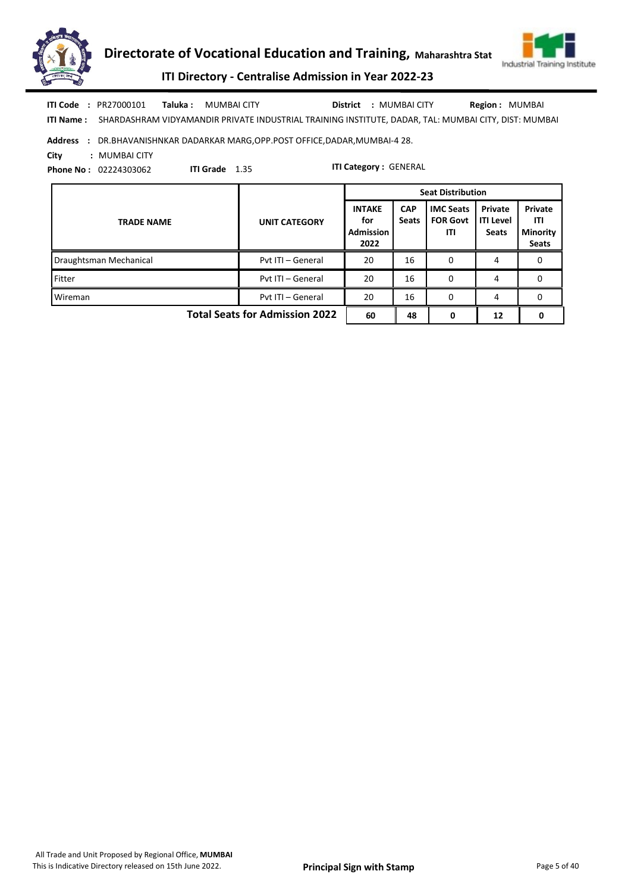



ITI Directory - Centralise Admission in Year 2022-23

ITI Name : SHARDASHRAM VIDYAMANDIR PRIVATE INDUSTRIAL TRAINING INSTITUTE, DADAR, TAL: MUMBAI CITY, DIST: MUMBAI Taluka : MUMBAI CITY District : MUMBAI CITY ITI Code : PR27000101 Region : MUMBAI

### Address : DR.BHAVANISHNKAR DADARKAR MARG,OPP.POST OFFICE,DADAR,MUMBAI-4 28.

ITI Grade 1.35

City : MUMBAI CITY

Phone No : 02224303062

|                                       |                      | <b>Seat Distribution</b>                         |                            |                                            |                                             |                                                   |  |  |
|---------------------------------------|----------------------|--------------------------------------------------|----------------------------|--------------------------------------------|---------------------------------------------|---------------------------------------------------|--|--|
| <b>TRADE NAME</b>                     | <b>UNIT CATEGORY</b> | <b>INTAKE</b><br>for<br><b>Admission</b><br>2022 | <b>CAP</b><br><b>Seats</b> | <b>IMC Seats</b><br><b>FOR Govt</b><br>ITI | Private<br><b>ITI Level</b><br><b>Seats</b> | Private<br>ITI<br><b>Minority</b><br><b>Seats</b> |  |  |
| Draughtsman Mechanical                | Pvt ITI - General    | 20                                               | 16                         | 0                                          | 4                                           | 0                                                 |  |  |
| Fitter                                | Pvt ITI - General    | 20                                               | 16                         | 0                                          | 4                                           | 0                                                 |  |  |
| Wireman                               | Pvt ITI - General    | 20                                               | 16                         | 0                                          | 4                                           | 0                                                 |  |  |
| <b>Total Seats for Admission 2022</b> | 60                   | 48                                               | 0                          | 12                                         |                                             |                                                   |  |  |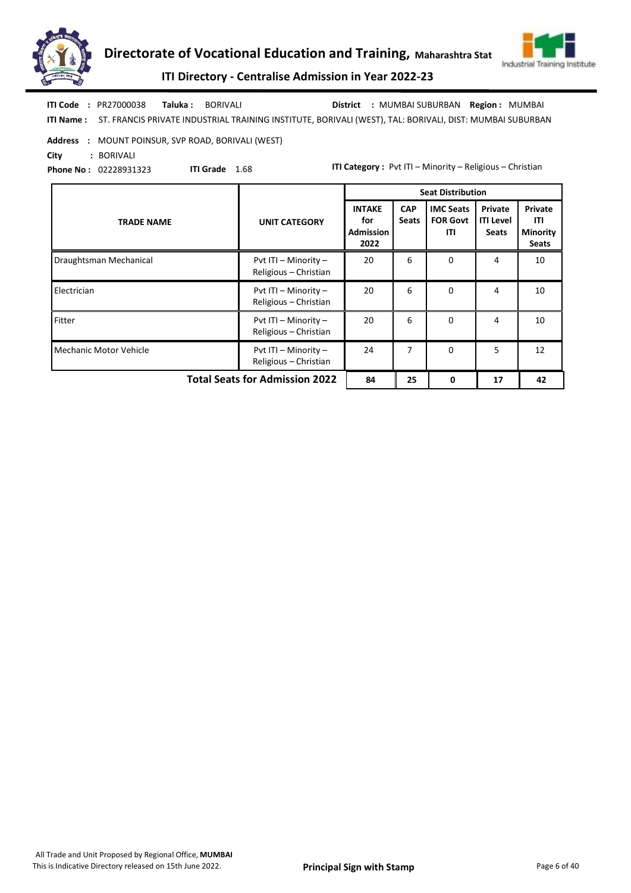



| <b>ITI Code : PR27000038</b> | <b>Taluka:</b> BORIVALI                                                                                            |  | District : MUMBAI SUBURBAN Region : MUMBAI |  |
|------------------------------|--------------------------------------------------------------------------------------------------------------------|--|--------------------------------------------|--|
|                              | ITI Name: ST. FRANCIS PRIVATE INDUSTRIAL TRAINING INSTITUTE, BORIVALI (WEST), TAL: BORIVALI, DIST: MUMBAI SUBURBAN |  |                                            |  |

Address : MOUNT POINSUR, SVP ROAD, BORIVALI (WEST)

City : BORIVALI

Phone No : 02228931323

ITI Grade 1.68

|                                       |                                               | <b>Seat Distribution</b>                         |                            |                                            |                                             |                                                   |
|---------------------------------------|-----------------------------------------------|--------------------------------------------------|----------------------------|--------------------------------------------|---------------------------------------------|---------------------------------------------------|
| <b>TRADE NAME</b>                     | <b>UNIT CATEGORY</b>                          | <b>INTAKE</b><br>for<br><b>Admission</b><br>2022 | <b>CAP</b><br><b>Seats</b> | <b>IMC Seats</b><br><b>FOR Govt</b><br>ITI | Private<br><b>ITI Level</b><br><b>Seats</b> | Private<br>ITI<br><b>Minority</b><br><b>Seats</b> |
| Draughtsman Mechanical                | Pvt ITI - Minority -<br>Religious - Christian | 20                                               | 6                          | $\Omega$                                   | 4                                           | 10                                                |
| Electrician                           | Pvt ITI - Minority -<br>Religious - Christian | 20                                               | 6                          | 0                                          | 4                                           | 10                                                |
| Fitter                                | Pvt ITI - Minority -<br>Religious - Christian | 20                                               | 6                          | $\mathbf 0$                                | 4                                           | 10                                                |
| <b>Mechanic Motor Vehicle</b>         | Pvt ITI - Minority -<br>Religious - Christian | 24                                               | 7                          | $\Omega$                                   | 5                                           | 12                                                |
| <b>Total Seats for Admission 2022</b> |                                               |                                                  | 25                         | 0                                          | 17                                          | 42                                                |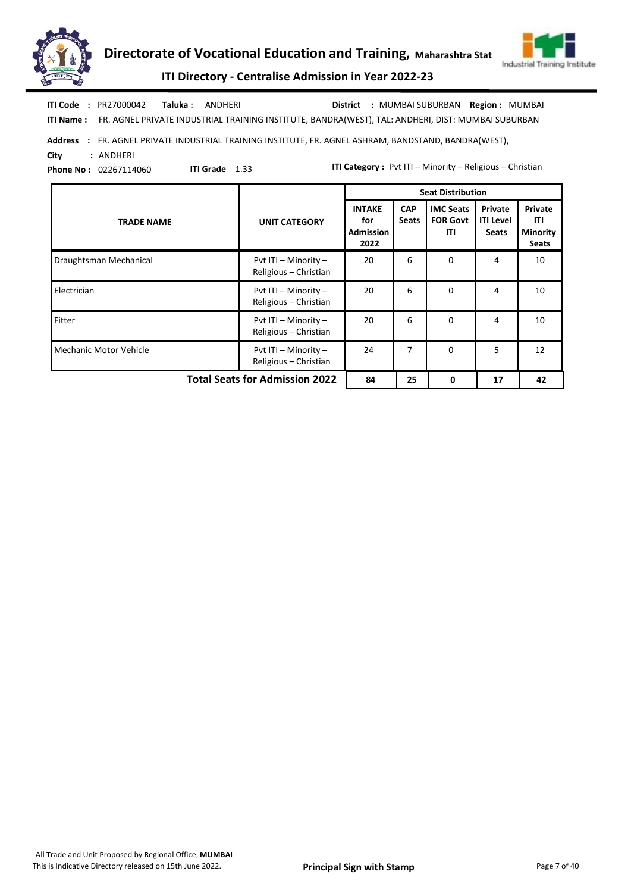



ITI Name : FR. AGNEL PRIVATE INDUSTRIAL TRAINING INSTITUTE, BANDRA(WEST), TAL: ANDHERI, DIST: MUMBAI SUBURBAN ITI Code : PR27000042 Taluka : ANDHERI District : MUMBAI SUBURBAN Region : MUMBAI

Address : FR. AGNEL PRIVATE INDUSTRIAL TRAINING INSTITUTE, FR. AGNEL ASHRAM, BANDSTAND, BANDRA(WEST),

ITI Grade 1.33

City : ANDHERI Phone No : 02267114060

|                                       |                                               |                                                  |                            | <b>Seat Distribution</b>                   |                                             |                                                   |
|---------------------------------------|-----------------------------------------------|--------------------------------------------------|----------------------------|--------------------------------------------|---------------------------------------------|---------------------------------------------------|
| <b>TRADE NAME</b>                     | <b>UNIT CATEGORY</b>                          | <b>INTAKE</b><br>for<br><b>Admission</b><br>2022 | <b>CAP</b><br><b>Seats</b> | <b>IMC Seats</b><br><b>FOR Govt</b><br>ITI | Private<br><b>ITI Level</b><br><b>Seats</b> | Private<br>ITI<br><b>Minority</b><br><b>Seats</b> |
| Draughtsman Mechanical                | Pvt ITI - Minority -<br>Religious - Christian | 20                                               | 6                          | $\Omega$                                   | 4                                           | 10                                                |
| Electrician                           | Pvt ITI - Minority -<br>Religious - Christian | 20                                               | 6                          | $\mathbf 0$                                | 4                                           | 10                                                |
| Fitter                                | Pvt ITI - Minority -<br>Religious - Christian | 20                                               | 6                          | $\Omega$                                   | 4                                           | 10                                                |
| <b>Mechanic Motor Vehicle</b>         | Pvt ITI - Minority -<br>Religious - Christian | 24                                               | 7                          | 0                                          | 5                                           | 12                                                |
| <b>Total Seats for Admission 2022</b> | 84                                            | 25                                               | 0                          | 17                                         | 42                                          |                                                   |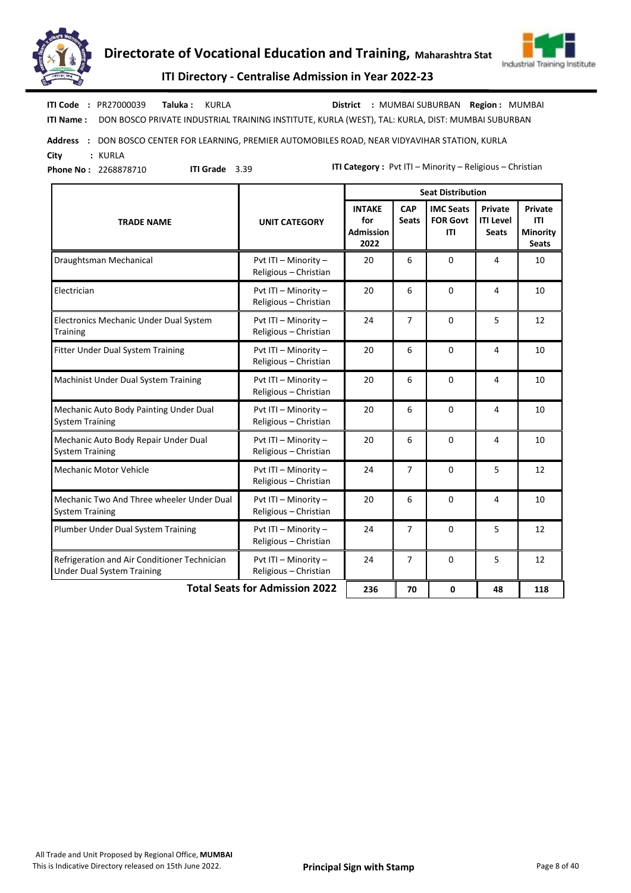



ITI Name : DON BOSCO PRIVATE INDUSTRIAL TRAINING INSTITUTE, KURLA (WEST), TAL: KURLA, DIST: MUMBAI SUBURBAN Taluka : KURLA District : MUMBAI SUBURBAN ITI Code : PR27000039 Region : MUMBAI

Address : DON BOSCO CENTER FOR LEARNING, PREMIER AUTOMOBILES ROAD, NEAR VIDYAVIHAR STATION, KURLA City : KURLA

Phone No : 2268878710

ITI Grade 3.39

|                                                                                   |                                               | <b>Seat Distribution</b>                         |                            |                                            |                                             |                                                          |  |  |  |
|-----------------------------------------------------------------------------------|-----------------------------------------------|--------------------------------------------------|----------------------------|--------------------------------------------|---------------------------------------------|----------------------------------------------------------|--|--|--|
| <b>TRADE NAME</b>                                                                 | <b>UNIT CATEGORY</b>                          | <b>INTAKE</b><br>for<br><b>Admission</b><br>2022 | <b>CAP</b><br><b>Seats</b> | <b>IMC Seats</b><br><b>FOR Govt</b><br>ITI | Private<br><b>ITI Level</b><br><b>Seats</b> | <b>Private</b><br>ITI<br><b>Minority</b><br><b>Seats</b> |  |  |  |
| Draughtsman Mechanical                                                            | Pvt ITI - Minority -<br>Religious - Christian | 20                                               | 6                          | $\Omega$                                   | 4                                           | 10                                                       |  |  |  |
| Electrician                                                                       | Pvt ITI - Minority -<br>Religious - Christian | 20                                               | 6                          | $\Omega$                                   | 4                                           | 10                                                       |  |  |  |
| Electronics Mechanic Under Dual System<br>Training                                | Pvt ITI - Minority -<br>Religious - Christian | 24                                               | 7                          | $\mathbf 0$                                | 5                                           | 12                                                       |  |  |  |
| Fitter Under Dual System Training                                                 | Pvt ITI - Minority -<br>Religious - Christian | 20                                               | 6                          | 0                                          | 4                                           | 10                                                       |  |  |  |
| <b>Machinist Under Dual System Training</b>                                       | Pvt ITI - Minority -<br>Religious - Christian | 20                                               | 6                          | 0                                          | 4                                           | 10                                                       |  |  |  |
| Mechanic Auto Body Painting Under Dual<br><b>System Training</b>                  | Pvt ITI - Minority -<br>Religious - Christian | 20                                               | 6                          | 0                                          | 4                                           | 10                                                       |  |  |  |
| Mechanic Auto Body Repair Under Dual<br><b>System Training</b>                    | Pvt ITI - Minority -<br>Religious - Christian | 20                                               | 6                          | 0                                          | 4                                           | 10                                                       |  |  |  |
| Mechanic Motor Vehicle                                                            | Pvt ITI - Minority -<br>Religious - Christian | 24                                               | 7                          | $\mathbf 0$                                | 5                                           | 12                                                       |  |  |  |
| Mechanic Two And Three wheeler Under Dual<br><b>System Training</b>               | Pvt ITI - Minority -<br>Religious - Christian | 20                                               | 6                          | 0                                          | 4                                           | 10                                                       |  |  |  |
| Plumber Under Dual System Training                                                | Pvt ITI - Minority -<br>Religious - Christian | 24                                               | 7                          | $\Omega$                                   | 5                                           | 12                                                       |  |  |  |
| Refrigeration and Air Conditioner Technician<br><b>Under Dual System Training</b> | Pvt ITI - Minority -<br>Religious - Christian | 24                                               | 7                          | 0                                          | 5                                           | 12                                                       |  |  |  |
| <b>Total Seats for Admission 2022</b>                                             | 236                                           | 70                                               | 0                          | 48                                         | 118                                         |                                                          |  |  |  |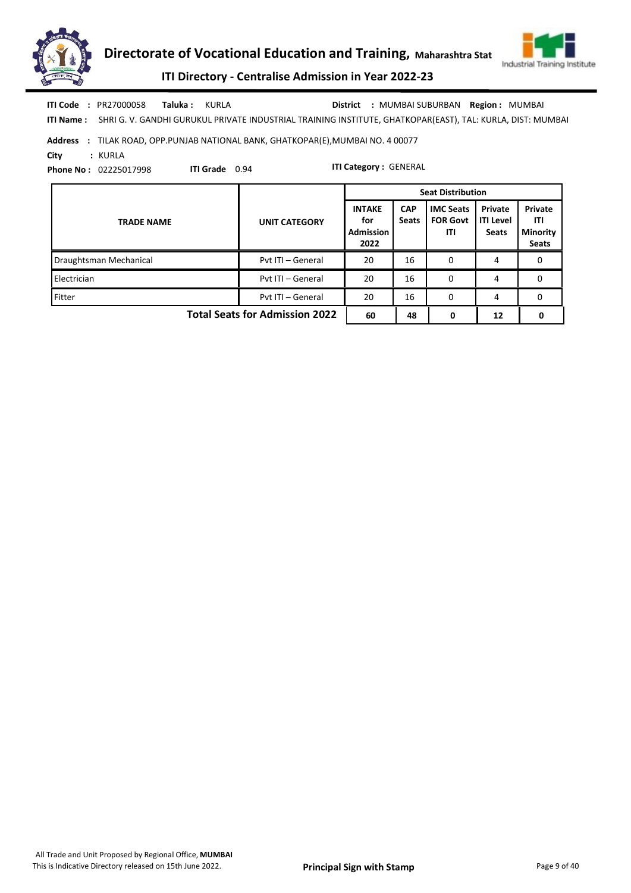



ITI Name : SHRI G. V. GANDHI GURUKUL PRIVATE INDUSTRIAL TRAINING INSTITUTE, GHATKOPAR(EAST), TAL: KURLA, DIST: MUMBAI ITI Code : PR27000058 Taluka : KURLA District : MUMBAI SUBURBAN Region : MUMBAI

Address : TILAK ROAD, OPP.PUNJAB NATIONAL BANK, GHATKOPAR(E),MUMBAI NO. 4 00077

ITI Grade 0.94

City : KURLA

Phone No : 02225017998

|                                       |                      | <b>Seat Distribution</b>                         |                            |                                            |                                             |                                                   |  |  |
|---------------------------------------|----------------------|--------------------------------------------------|----------------------------|--------------------------------------------|---------------------------------------------|---------------------------------------------------|--|--|
| <b>TRADE NAME</b>                     | <b>UNIT CATEGORY</b> | <b>INTAKE</b><br>for<br><b>Admission</b><br>2022 | <b>CAP</b><br><b>Seats</b> | <b>IMC Seats</b><br><b>FOR Govt</b><br>ITI | Private<br><b>ITI Level</b><br><b>Seats</b> | Private<br>ITI<br><b>Minority</b><br><b>Seats</b> |  |  |
| Draughtsman Mechanical                | Pvt ITI - General    | 20                                               | 16                         | 0                                          | 4                                           | 0                                                 |  |  |
| Electrician                           | Pvt ITI - General    | 20                                               | 16                         | 0                                          | 4                                           | 0                                                 |  |  |
| Fitter                                | Pvt ITI - General    | 20                                               | 16                         | 0                                          | 4                                           | 0                                                 |  |  |
| <b>Total Seats for Admission 2022</b> | 60                   | 48                                               |                            | 12                                         | 0                                           |                                                   |  |  |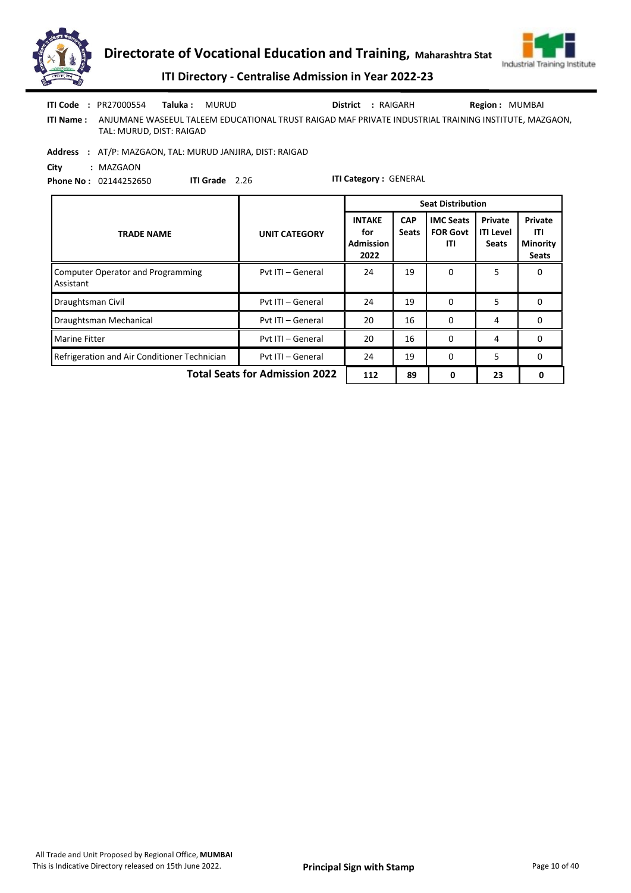



|            | <b>ITI Code : PR27000554</b> | Taluka : | MURUD                                                                                                | District : RAIGARH | <b>Region: MUMBAI</b> |
|------------|------------------------------|----------|------------------------------------------------------------------------------------------------------|--------------------|-----------------------|
| ITI Name : | TAL: MURUD, DIST: RAIGAD     |          | ANJUMANE WASEEUL TALEEM EDUCATIONAL TRUST RAIGAD MAF PRIVATE INDUSTRIAL TRAINING INSTITUTE. MAZGAON. |                    |                       |

Address : AT/P: MAZGAON, TAL: MURUD JANJIRA, DIST: RAIGAD

City : MAZGAON Phone No : 02144252650

ITI Grade 2.26

|                                                       |                      |                                                  |                            | <b>Seat Distribution</b>                   |                                             |                                                          |
|-------------------------------------------------------|----------------------|--------------------------------------------------|----------------------------|--------------------------------------------|---------------------------------------------|----------------------------------------------------------|
| <b>TRADE NAME</b>                                     | <b>UNIT CATEGORY</b> | <b>INTAKE</b><br>for<br><b>Admission</b><br>2022 | <b>CAP</b><br><b>Seats</b> | <b>IMC Seats</b><br><b>FOR Govt</b><br>ITI | Private<br><b>ITI Level</b><br><b>Seats</b> | <b>Private</b><br>ITI<br><b>Minority</b><br><b>Seats</b> |
| <b>Computer Operator and Programming</b><br>Assistant | Pvt ITI - General    | 24                                               | 19                         | $\Omega$                                   | 5.                                          | 0                                                        |
| Draughtsman Civil                                     | Pvt ITI - General    | 24                                               | 19                         | $\Omega$                                   | 5                                           | 0                                                        |
| Draughtsman Mechanical                                | Pvt ITI - General    | 20                                               | 16                         | $\Omega$                                   | 4                                           | $\Omega$                                                 |
| <b>Marine Fitter</b>                                  | Pvt ITI - General    | 20                                               | 16                         | 0                                          | 4                                           | 0                                                        |
| Refrigeration and Air Conditioner Technician          | Pvt ITI - General    | 24                                               | 19                         | $\Omega$                                   | 5                                           | 0                                                        |
| <b>Total Seats for Admission 2022</b>                 | 112                  | 89                                               | 0                          | 23                                         | 0                                           |                                                          |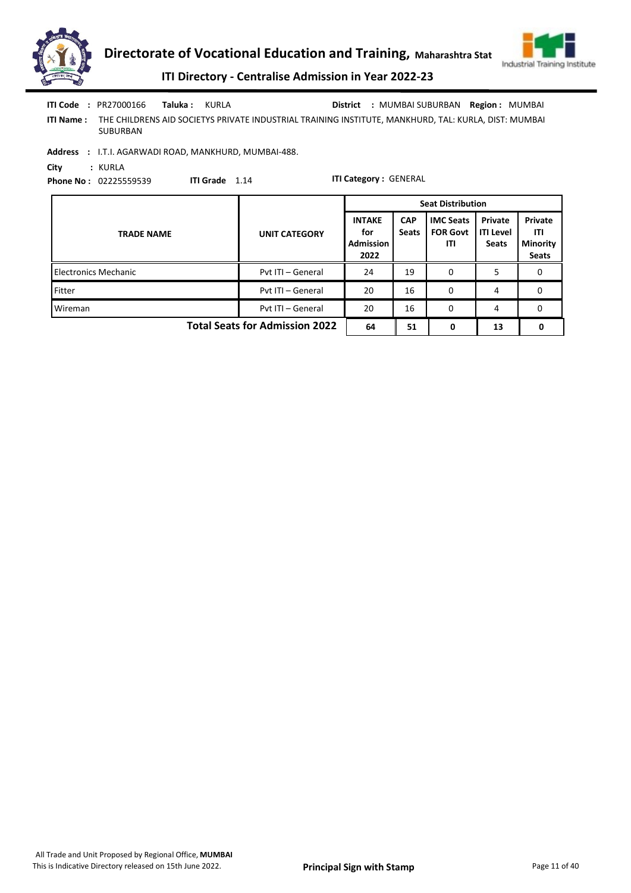



|                  | <b>ITI Code : PR27000166</b> | Taluka : | KURLA                                                                                                | District : MUMBAI SUBURBAN Region : MUMBAI |  |
|------------------|------------------------------|----------|------------------------------------------------------------------------------------------------------|--------------------------------------------|--|
| <b>ITI Name:</b> | SUBURBAN                     |          | THE CHILDRENS AID SOCIETYS PRIVATE INDUSTRIAL TRAINING INSTITUTE, MANKHURD, TAL: KURLA, DIST: MUMBAI |                                            |  |

Address : I.T.I. AGARWADI ROAD, MANKHURD, MUMBAI-488.

City : KURLA

Phone No : 02225559539

ITI Grade 1.14

|                                       |                      | <b>Seat Distribution</b>                         |                            |                                            |                                             |                                                          |  |  |
|---------------------------------------|----------------------|--------------------------------------------------|----------------------------|--------------------------------------------|---------------------------------------------|----------------------------------------------------------|--|--|
| <b>TRADE NAME</b>                     | <b>UNIT CATEGORY</b> | <b>INTAKE</b><br>for<br><b>Admission</b><br>2022 | <b>CAP</b><br><b>Seats</b> | <b>IMC Seats</b><br><b>FOR Govt</b><br>ITI | Private<br><b>ITI Level</b><br><b>Seats</b> | <b>Private</b><br>ITI<br><b>Minority</b><br><b>Seats</b> |  |  |
| <b>Electronics Mechanic</b>           | Pvt ITI - General    | 24                                               | 19                         | 0                                          | כ                                           |                                                          |  |  |
| <b>Fitter</b>                         | Pvt ITI - General    | 20                                               | 16                         | 0                                          | 4                                           | 0                                                        |  |  |
| Wireman                               | Pvt ITI - General    | 20                                               | 16                         | 0                                          | 4                                           | 0                                                        |  |  |
| <b>Total Seats for Admission 2022</b> | 64                   | 51                                               | 0                          | 13                                         | 0                                           |                                                          |  |  |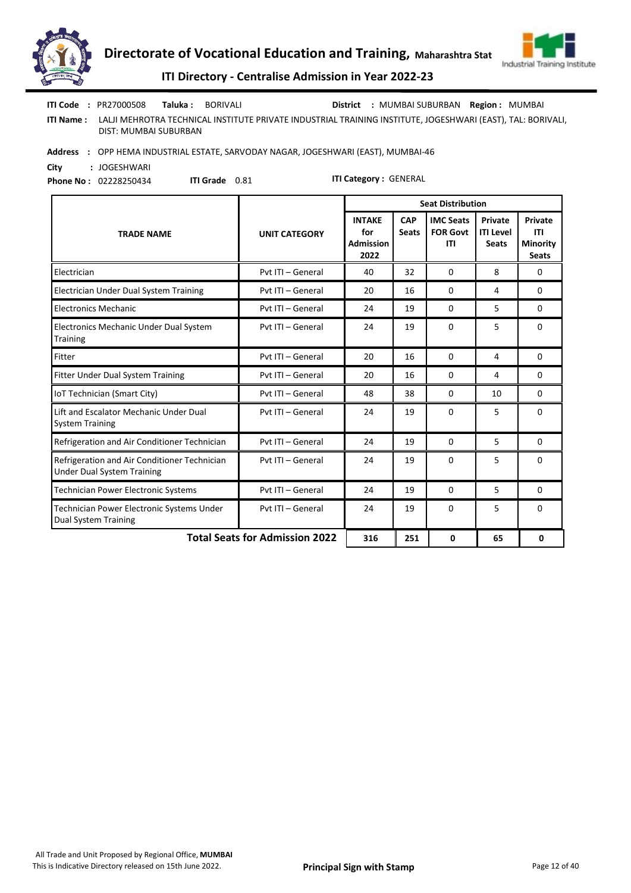



|           | <b>ITI Code : PR27000508</b> | Taluka : | BORIVALI |                                                                                                             | District : MUMBAI SUBURBAN Region : MUMBAI |  |
|-----------|------------------------------|----------|----------|-------------------------------------------------------------------------------------------------------------|--------------------------------------------|--|
| ITI Name: | DIST: MUMBAI SUBURBAN        |          |          | LALJI MEHROTRA TECHNICAL INSTITUTE PRIVATE INDUSTRIAL TRAINING INSTITUTE, JOGESHWARI (EAST), TAL: BORIVALI, |                                            |  |
| Addrocc . |                              |          |          | ODD HEMA INDUSTRIAL ESTATE SARVODAV NACAR JOCESHWARI (EAST), MUNARAL AG                                     |                                            |  |

Address : OPP HEMA INDUSTRIAL ESTATE, SARVODAY NAGAR, JOGESHWARI (EAST), MUMBAI-46

City : JOGESHWARI Phone No : 02228250434

ITI Grade 0.81

|                                                                                   |                                       | <b>Seat Distribution</b>                         |                            |                                                   |                                             |                                                          |  |  |
|-----------------------------------------------------------------------------------|---------------------------------------|--------------------------------------------------|----------------------------|---------------------------------------------------|---------------------------------------------|----------------------------------------------------------|--|--|
| <b>TRADE NAME</b>                                                                 | <b>UNIT CATEGORY</b>                  | <b>INTAKE</b><br>for<br><b>Admission</b><br>2022 | <b>CAP</b><br><b>Seats</b> | <b>IMC Seats</b><br><b>FOR Govt</b><br><b>ITI</b> | Private<br><b>ITI Level</b><br><b>Seats</b> | <b>Private</b><br>ITI<br><b>Minority</b><br><b>Seats</b> |  |  |
| Electrician                                                                       | Pvt ITI - General                     | 40                                               | 32                         | $\Omega$                                          | 8                                           | 0                                                        |  |  |
| Electrician Under Dual System Training                                            | Pyt ITI - General                     | 20                                               | 16                         | $\Omega$                                          | 4                                           | 0                                                        |  |  |
| <b>Electronics Mechanic</b>                                                       | Pvt ITI - General                     | 24                                               | 19                         | $\Omega$                                          | 5                                           | 0                                                        |  |  |
| Electronics Mechanic Under Dual System<br><b>Training</b>                         | Pyt ITI - General                     | 24                                               | 19                         | 0                                                 | 5                                           | 0                                                        |  |  |
| Fitter                                                                            | Pyt ITI - General                     | 20                                               | 16                         | $\Omega$                                          | 4                                           | $\Omega$                                                 |  |  |
| Fitter Under Dual System Training                                                 | Pvt ITI - General                     | 20                                               | 16                         | 0                                                 | 4                                           | 0                                                        |  |  |
| IoT Technician (Smart City)                                                       | Pyt ITI - General                     | 48                                               | 38                         | $\Omega$                                          | 10                                          | 0                                                        |  |  |
| Lift and Escalator Mechanic Under Dual<br><b>System Training</b>                  | Pyt ITI - General                     | 24                                               | 19                         | $\Omega$                                          | 5                                           | $\Omega$                                                 |  |  |
| Refrigeration and Air Conditioner Technician                                      | Pvt ITI - General                     | 24                                               | 19                         | 0                                                 | 5                                           | 0                                                        |  |  |
| Refrigeration and Air Conditioner Technician<br><b>Under Dual System Training</b> | Pyt ITI - General                     | 24                                               | 19                         | $\Omega$                                          | 5                                           | $\Omega$                                                 |  |  |
| <b>Technician Power Electronic Systems</b>                                        | Pvt ITI - General                     | 24                                               | 19                         | $\Omega$                                          | 5                                           | 0                                                        |  |  |
| Technician Power Electronic Systems Under<br><b>Dual System Training</b>          | Pyt ITI - General                     | 24                                               | 19                         | $\Omega$                                          | 5                                           | 0                                                        |  |  |
|                                                                                   | <b>Total Seats for Admission 2022</b> | 316                                              | 251                        | 0                                                 | 65                                          | 0                                                        |  |  |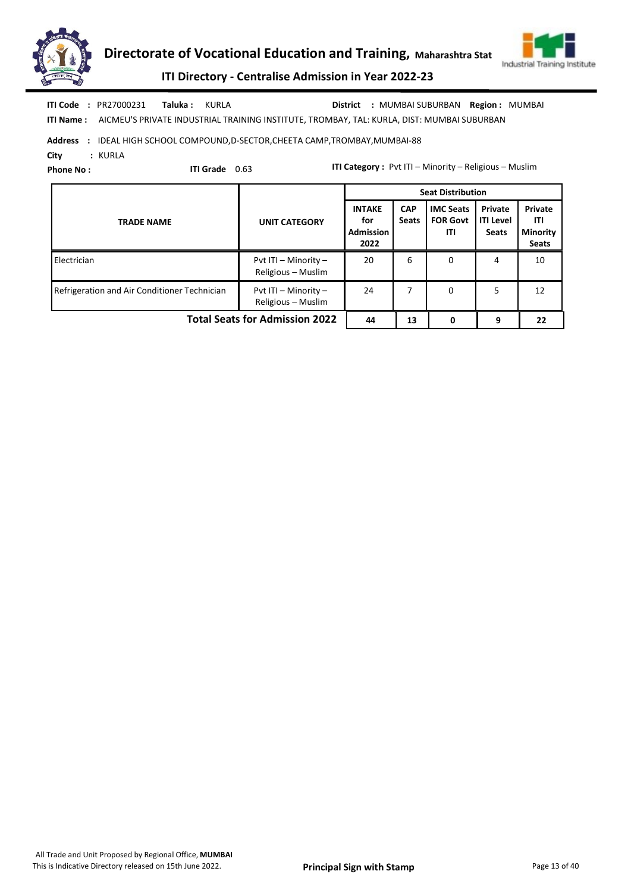



ITI Name : AICMEU'S PRIVATE INDUSTRIAL TRAINING INSTITUTE, TROMBAY, TAL: KURLA, DIST: MUMBAI SUBURBAN ITI Code : PR27000231 Taluka : KURLA District : MUMBAI SUBURBAN Region : MUMBAI

# Address : IDEAL HIGH SCHOOL COMPOUND, D-SECTOR, CHEETA CAMP, TROMBAY, MUMBAI-88

City : KURLA

Phone No :

ITI Grade 0.63

|                                              |                                                | <b>Seat Distribution</b>                         |                            |                                            |                                             |                                                   |  |  |
|----------------------------------------------|------------------------------------------------|--------------------------------------------------|----------------------------|--------------------------------------------|---------------------------------------------|---------------------------------------------------|--|--|
| <b>TRADE NAME</b>                            | <b>UNIT CATEGORY</b>                           | <b>INTAKE</b><br>for<br><b>Admission</b><br>2022 | <b>CAP</b><br><b>Seats</b> | <b>IMC Seats</b><br><b>FOR Govt</b><br>ITI | Private<br><b>ITI Level</b><br><b>Seats</b> | Private<br>ITI<br><b>Minority</b><br><b>Seats</b> |  |  |
| Electrician                                  | Pvt ITI - Minority -<br>Religious - Muslim     | 20                                               | 6                          | 0                                          | 4                                           | 10                                                |  |  |
| Refrigeration and Air Conditioner Technician | Pvt ITI $-$ Minority $-$<br>Religious - Muslim | 24                                               | 7                          | 0                                          | 5.                                          | 12                                                |  |  |
| <b>Total Seats for Admission 2022</b>        | 44                                             | 13                                               | 0                          | 9                                          | 22                                          |                                                   |  |  |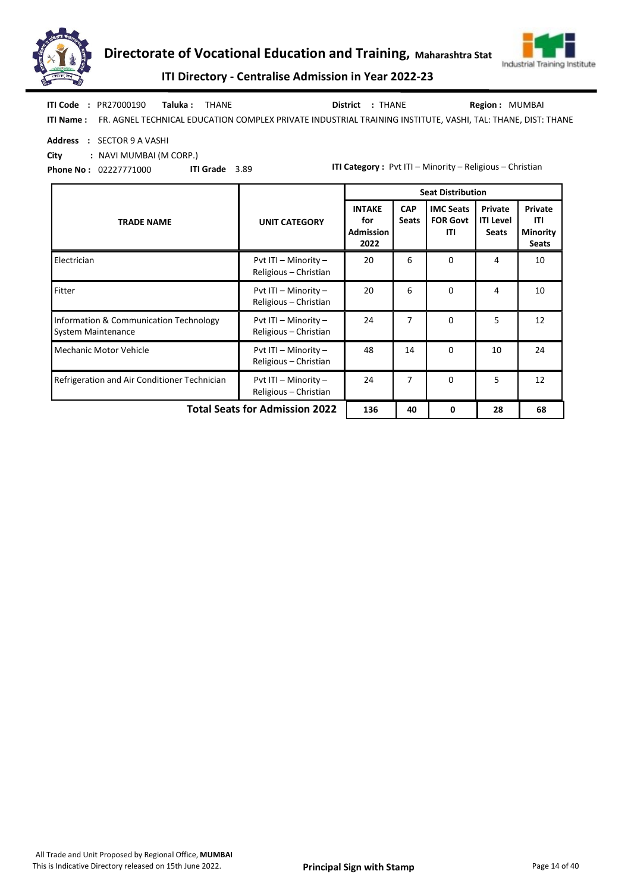



ITI Directory - Centralise Admission in Year 2022-23

|            | <b>ITI Code: PR27000190 Taluka: THANE</b> |  | District : THANE | <b>Region: MUMBAI</b>                                                                                       |
|------------|-------------------------------------------|--|------------------|-------------------------------------------------------------------------------------------------------------|
| ITI Name : |                                           |  |                  | FR. AGNEL TECHNICAL EDUCATION COMPLEX PRIVATE INDUSTRIAL TRAINING INSTITUTE, VASHI, TAL: THANE, DIST: THANE |

Address : SECTOR 9 A VASHI

City : NAVI MUMBAI (M CORP.)

Phone No : 02227771000 ITI Grade 3.89

|                                                                     |                                               |                                                  |                            | <b>Seat Distribution</b>                   |                                             |                                                   |
|---------------------------------------------------------------------|-----------------------------------------------|--------------------------------------------------|----------------------------|--------------------------------------------|---------------------------------------------|---------------------------------------------------|
| <b>TRADE NAME</b>                                                   | <b>UNIT CATEGORY</b>                          | <b>INTAKE</b><br>for<br><b>Admission</b><br>2022 | <b>CAP</b><br><b>Seats</b> | <b>IMC Seats</b><br><b>FOR Govt</b><br>ITI | Private<br><b>ITI Level</b><br><b>Seats</b> | Private<br>ITI<br><b>Minority</b><br><b>Seats</b> |
| Electrician                                                         | Pvt ITI - Minority -<br>Religious - Christian | 20                                               | 6                          | $\Omega$                                   | 4                                           | 10                                                |
| Fitter                                                              | Pvt ITI - Minority -<br>Religious - Christian | 20                                               | 6                          | $\Omega$                                   | 4                                           | 10                                                |
| Information & Communication Technology<br><b>System Maintenance</b> | Pvt ITI - Minority -<br>Religious - Christian | 24                                               | 7                          | $\Omega$                                   | 5                                           | 12                                                |
| <b>Mechanic Motor Vehicle</b>                                       | Pvt ITI - Minority -<br>Religious - Christian | 48                                               | 14                         | $\Omega$                                   | 10                                          | 24                                                |
| Refrigeration and Air Conditioner Technician                        | Pvt ITI - Minority -<br>Religious - Christian | 24                                               | 7                          | $\Omega$                                   | 5                                           | 12                                                |
|                                                                     | <b>Total Seats for Admission 2022</b>         |                                                  |                            |                                            |                                             | 68                                                |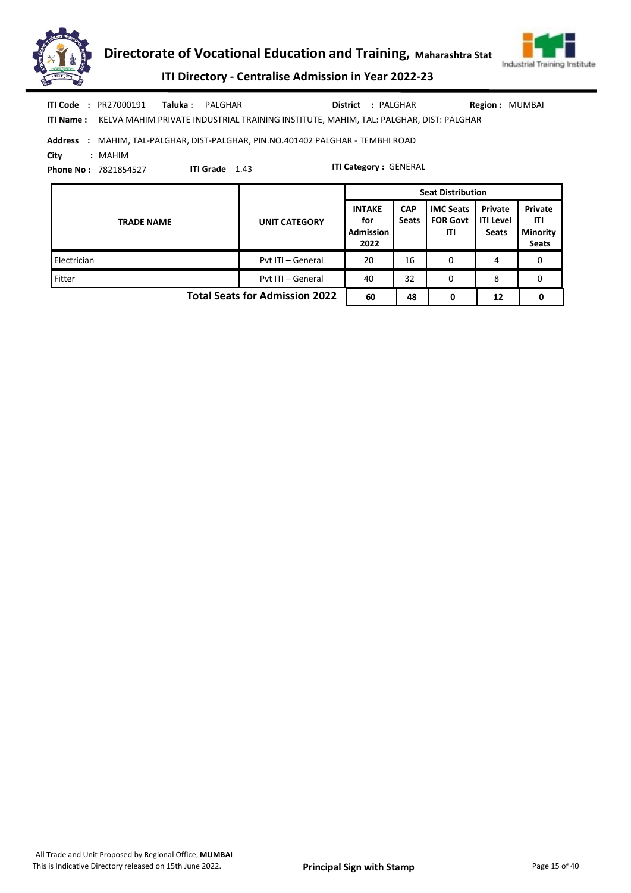



ITI Directory - Centralise Admission in Year 2022-23

| <b>ITI Code : PR27000191</b><br>Taluka :<br>PALGHAR<br>KELVA MAHIM PRIVATE INDUSTRIAL TRAINING INSTITUTE, MAHIM, TAL: PALGHAR, DIST: PALGHAR<br>ITI Name :                             |                      | <b>District</b>                                  | : PALGHAR                  |                                            | <b>Region: MUMBAI</b>                       |                                            |  |  |  |  |  |
|----------------------------------------------------------------------------------------------------------------------------------------------------------------------------------------|----------------------|--------------------------------------------------|----------------------------|--------------------------------------------|---------------------------------------------|--------------------------------------------|--|--|--|--|--|
| Address<br>: MAHIM, TAL-PALGHAR, DIST-PALGHAR, PIN.NO.401402 PALGHAR - TEMBHI ROAD<br>City<br>: MAHIM<br><b>ITI Category: GENERAL</b><br>ITI Grade 1.43<br><b>Phone No: 7821854527</b> |                      |                                                  |                            |                                            |                                             |                                            |  |  |  |  |  |
|                                                                                                                                                                                        |                      | <b>Seat Distribution</b>                         |                            |                                            |                                             |                                            |  |  |  |  |  |
| <b>TRADE NAME</b>                                                                                                                                                                      | <b>UNIT CATEGORY</b> | <b>INTAKE</b><br>for<br><b>Admission</b><br>2022 | <b>CAP</b><br><b>Seats</b> | <b>IMC Seats</b><br><b>FOR Govt</b><br>ITI | Private<br><b>ITI Level</b><br><b>Seats</b> | Private<br>ITI<br>Minority<br><b>Seats</b> |  |  |  |  |  |
| Electrician                                                                                                                                                                            | Pvt ITI - General    | 20                                               | 16                         | 0                                          | 4                                           | $\Omega$                                   |  |  |  |  |  |
| Fitter                                                                                                                                                                                 | Pyt ITI - General    | 40                                               | 32                         | 0                                          | 8                                           | 0                                          |  |  |  |  |  |

Total Seats for Admission 2022  $\begin{array}{|c|c|c|c|c|c|c|c|} \hline 60 & 48 & 0 & 12 & 0 \\ \hline \end{array}$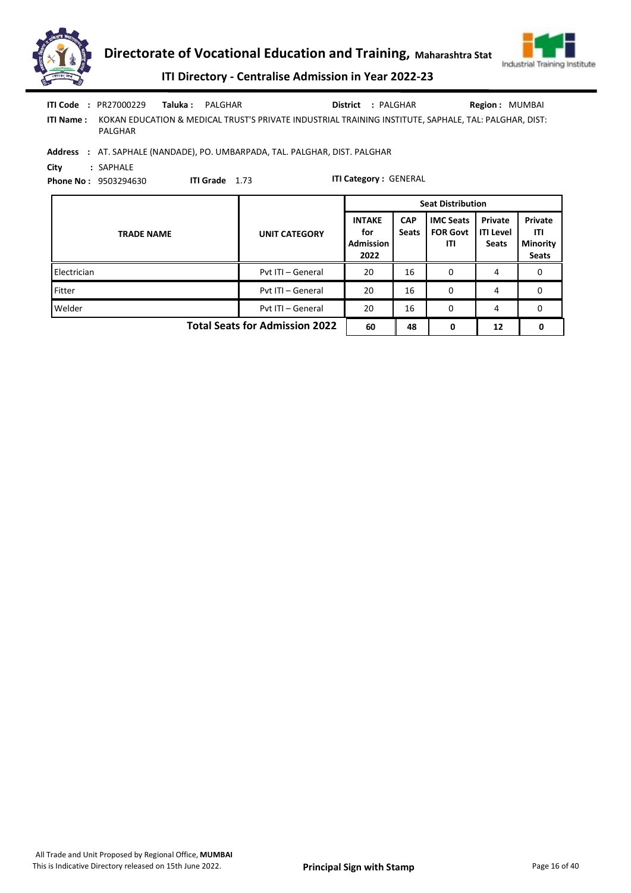

|                  | <b>ITI Code : PR27000229</b><br>Taluka :                                                   | PALGHAR |                                                                                                       | District                                         | : PALGHAR                  |                                            | <b>Region: MUMBAI</b>                       |                                                   |  |
|------------------|--------------------------------------------------------------------------------------------|---------|-------------------------------------------------------------------------------------------------------|--------------------------------------------------|----------------------------|--------------------------------------------|---------------------------------------------|---------------------------------------------------|--|
| <b>ITI Name:</b> | PALGHAR                                                                                    |         | KOKAN EDUCATION & MEDICAL TRUST'S PRIVATE INDUSTRIAL TRAINING INSTITUTE, SAPHALE, TAL: PALGHAR, DIST: |                                                  |                            |                                            |                                             |                                                   |  |
|                  |                                                                                            |         | Address : AT. SAPHALE (NANDADE), PO. UMBARPADA, TAL. PALGHAR, DIST. PALGHAR                           |                                                  |                            |                                            |                                             |                                                   |  |
| City             | : SAPHALE<br><b>ITI Category: GENERAL</b><br>ITI Grade 1.73<br><b>Phone No: 9503294630</b> |         |                                                                                                       |                                                  |                            |                                            |                                             |                                                   |  |
|                  |                                                                                            |         |                                                                                                       |                                                  | <b>Seat Distribution</b>   |                                            |                                             |                                                   |  |
|                  |                                                                                            |         |                                                                                                       |                                                  |                            |                                            |                                             |                                                   |  |
|                  | <b>TRADE NAME</b>                                                                          |         | <b>UNIT CATEGORY</b>                                                                                  | <b>INTAKE</b><br>for<br><b>Admission</b><br>2022 | <b>CAP</b><br><b>Seats</b> | <b>IMC Seats</b><br><b>FOR Govt</b><br>ITI | Private<br><b>ITI Level</b><br><b>Seats</b> | Private<br>ITI<br><b>Minority</b><br><b>Seats</b> |  |
| Electrician      |                                                                                            |         | Pyt ITI - General                                                                                     | 20                                               | 16                         | $\Omega$                                   | 4                                           | $\mathbf{0}$                                      |  |
| Fitter           |                                                                                            |         | Pvt ITI - General                                                                                     | 20                                               | 16                         | $\Omega$                                   | 4                                           | 0                                                 |  |

Total Seats for Admission 2022  $\begin{array}{|c|c|c|c|c|c|} \hline \end{array}$  60  $\begin{array}{|c|c|c|c|c|} \hline \end{array}$  48  $\begin{array}{|c|c|c|c|} \hline \end{array}$  6  $\begin{array}{|c|c|c|c|c|} \hline \end{array}$  12  $\begin{array}{|c|c|c|c|c|} \hline \end{array}$ 

All Trade and Unit Proposed by Regional Office, MUMBAI This is Indicative Directory released on 15th June 2022. **Principal Sign with Stamp** Page 16 of 40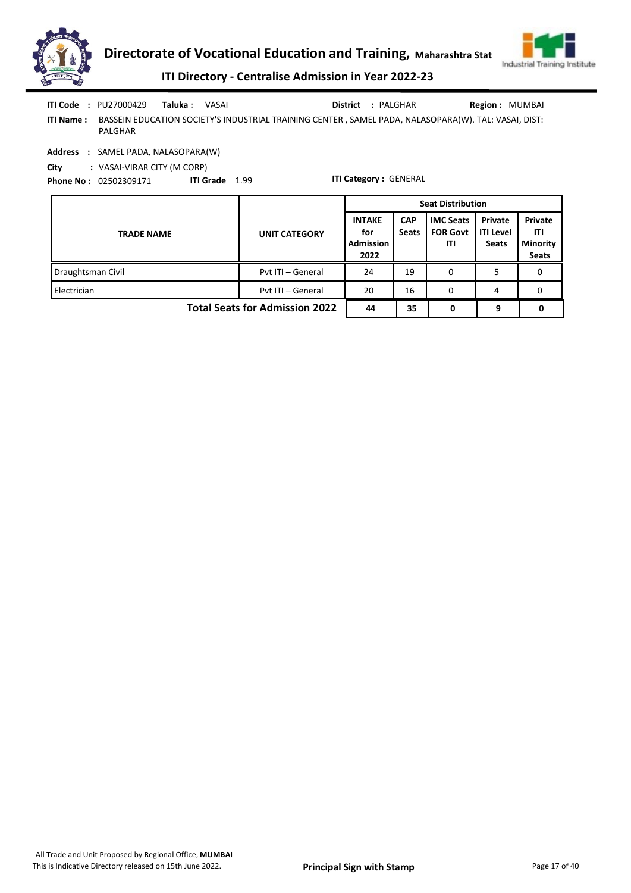



ITI Name : BASSEIN EDUCATION SOCIETY'S INDUSTRIAL TRAINING CENTER , SAMEL PADA, NALASOPARA(W). TAL: VASAI, DIST: PALGHAR Taluka : VASAI District : PALGHAR ITI Code : PU27000429 Taluka : VASAI **District** : PALGHAR **Region : MUMBAI** 

Address : SAMEL PADA, NALASOPARA(W)

City : VASAI-VIRAR CITY (M CORP)

Phone No : 02502309171 ITI Grade 1.99

|                                       |                      | <b>Seat Distribution</b>                         |                            |                                            |                                             |                                                          |  |  |
|---------------------------------------|----------------------|--------------------------------------------------|----------------------------|--------------------------------------------|---------------------------------------------|----------------------------------------------------------|--|--|
| <b>TRADE NAME</b>                     | <b>UNIT CATEGORY</b> | <b>INTAKE</b><br>for<br><b>Admission</b><br>2022 | <b>CAP</b><br><b>Seats</b> | <b>IMC Seats</b><br><b>FOR Govt</b><br>ITI | Private<br><b>ITI Level</b><br><b>Seats</b> | <b>Private</b><br>ITI<br><b>Minority</b><br><b>Seats</b> |  |  |
| Draughtsman Civil                     | Pvt ITI - General    | 24                                               | 19                         | 0                                          |                                             | 0                                                        |  |  |
| Electrician                           | Pvt ITI - General    | 20                                               | 16                         | 0                                          | 4                                           | 0                                                        |  |  |
| <b>Total Seats for Admission 2022</b> | 44                   | 35                                               | 0                          | 9                                          |                                             |                                                          |  |  |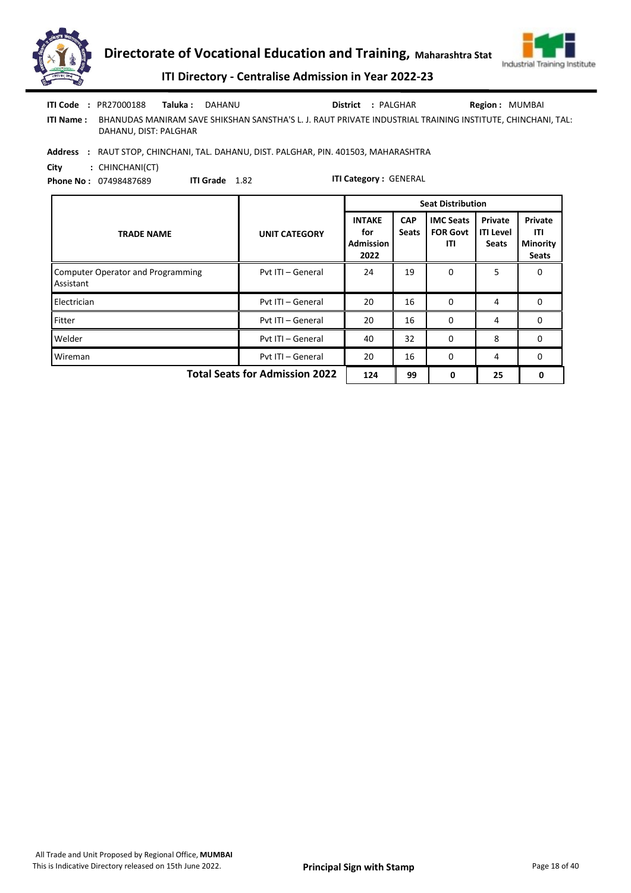



| ITI Code         | : PR27000188          | Taluka : . | DAHANU |  | District : PALGHAR | <b>Region: MUMBAI</b>                                                                                      |
|------------------|-----------------------|------------|--------|--|--------------------|------------------------------------------------------------------------------------------------------------|
| <b>ITI Name:</b> | DAHANU, DIST: PALGHAR |            |        |  |                    | BHANUDAS MANIRAM SAVE SHIKSHAN SANSTHA'S L. J. RAUT PRIVATE INDUSTRIAL TRAINING INSTITUTE. CHINCHANI. TAL: |

Address : RAUT STOP, CHINCHANI, TAL. DAHANU, DIST. PALGHAR, PIN. 401503, MAHARASHTRA

City : CHINCHANI(CT) Phone No : 07498487689

ITI Grade 1.82

|                                                       |                      | <b>Seat Distribution</b>                         |                            |                                            |                                             |                                                          |  |
|-------------------------------------------------------|----------------------|--------------------------------------------------|----------------------------|--------------------------------------------|---------------------------------------------|----------------------------------------------------------|--|
| <b>TRADE NAME</b>                                     | <b>UNIT CATEGORY</b> | <b>INTAKE</b><br>for<br><b>Admission</b><br>2022 | <b>CAP</b><br><b>Seats</b> | <b>IMC Seats</b><br><b>FOR Govt</b><br>ITI | Private<br><b>ITI Level</b><br><b>Seats</b> | <b>Private</b><br>ITI<br><b>Minority</b><br><b>Seats</b> |  |
| <b>Computer Operator and Programming</b><br>Assistant | Pvt ITI - General    | 24                                               | 19                         | 0                                          | 5                                           | 0                                                        |  |
| Electrician                                           | Pyt ITI - General    | 20                                               | 16                         | 0                                          | 4                                           | 0                                                        |  |
| Fitter                                                | Pvt ITI - General    | 20                                               | 16                         | $\Omega$                                   | 4                                           | $\Omega$                                                 |  |
| Welder                                                | Pyt ITI - General    | 40                                               | 32                         | 0                                          | 8                                           | 0                                                        |  |
| Wireman                                               | Pvt ITI - General    | 20                                               | 16                         | 0                                          | 4                                           | 0                                                        |  |
| <b>Total Seats for Admission 2022</b>                 | 124                  | 99                                               | 0                          | 25                                         | 0                                           |                                                          |  |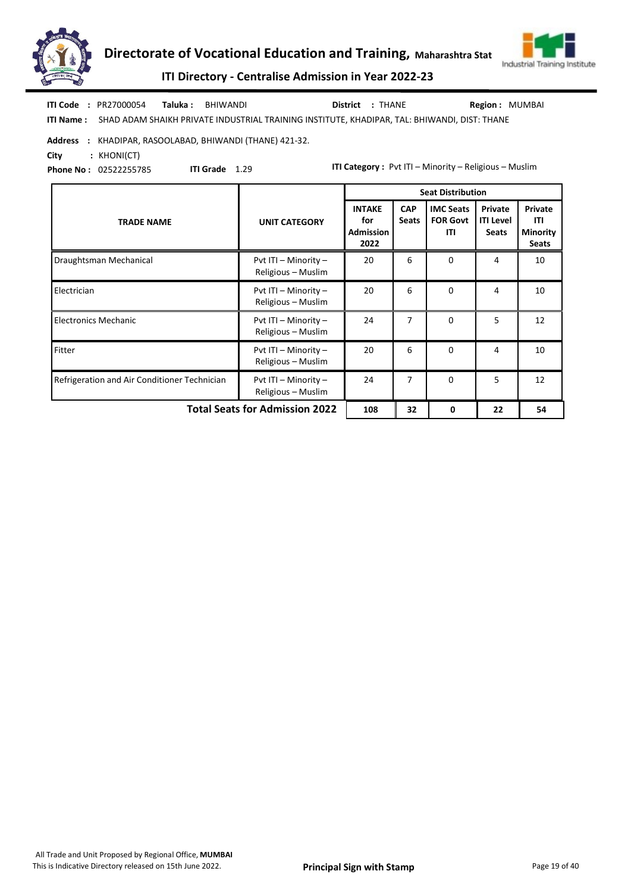



ITI Directory - Centralise Admission in Year 2022-23

| <b>ITI Code : PR27000054</b> | <b>Taluka : BHIWANDI</b>                                                                               | District : THANE | <b>Region: MUMBAI</b> |
|------------------------------|--------------------------------------------------------------------------------------------------------|------------------|-----------------------|
|                              | ITI Name: SHAD ADAM SHAIKH PRIVATE INDUSTRIAL TRAINING INSTITUTE, KHADIPAR, TAL: BHIWANDI, DIST: THANE |                  |                       |

#### Address : KHADIPAR, RASOOLABAD, BHIWANDI (THANE) 421-32.

City : KHONI(CT)

Phone No : 02522255785

ITI Grade 1.29

|                                              |                                            | <b>Seat Distribution</b>                         |                            |                                            |                                             |                                                   |
|----------------------------------------------|--------------------------------------------|--------------------------------------------------|----------------------------|--------------------------------------------|---------------------------------------------|---------------------------------------------------|
| <b>TRADE NAME</b>                            | <b>UNIT CATEGORY</b>                       | <b>INTAKE</b><br>for<br><b>Admission</b><br>2022 | <b>CAP</b><br><b>Seats</b> | <b>IMC Seats</b><br><b>FOR Govt</b><br>ITI | Private<br><b>ITI Level</b><br><b>Seats</b> | Private<br>ITI<br><b>Minority</b><br><b>Seats</b> |
| Draughtsman Mechanical                       | Pvt ITI - Minority -<br>Religious - Muslim | 20                                               | 6                          | $\Omega$                                   | 4                                           | 10                                                |
| Electrician                                  | Pvt ITI - Minority -<br>Religious - Muslim | 20                                               | 6                          | $\Omega$                                   | 4                                           | 10                                                |
| <b>Electronics Mechanic</b>                  | Pvt ITI - Minority -<br>Religious - Muslim | 24                                               | 7                          | $\Omega$                                   | 5                                           | 12                                                |
| Fitter                                       | Pvt ITI - Minority -<br>Religious - Muslim | 20                                               | 6                          | $\Omega$                                   | 4                                           | 10                                                |
| Refrigeration and Air Conditioner Technician | Pvt ITI - Minority -<br>Religious - Muslim | 24                                               | 7                          | $\Omega$                                   | 5                                           | 12                                                |
|                                              | <b>Total Seats for Admission 2022</b>      |                                                  |                            |                                            | 22                                          | 54                                                |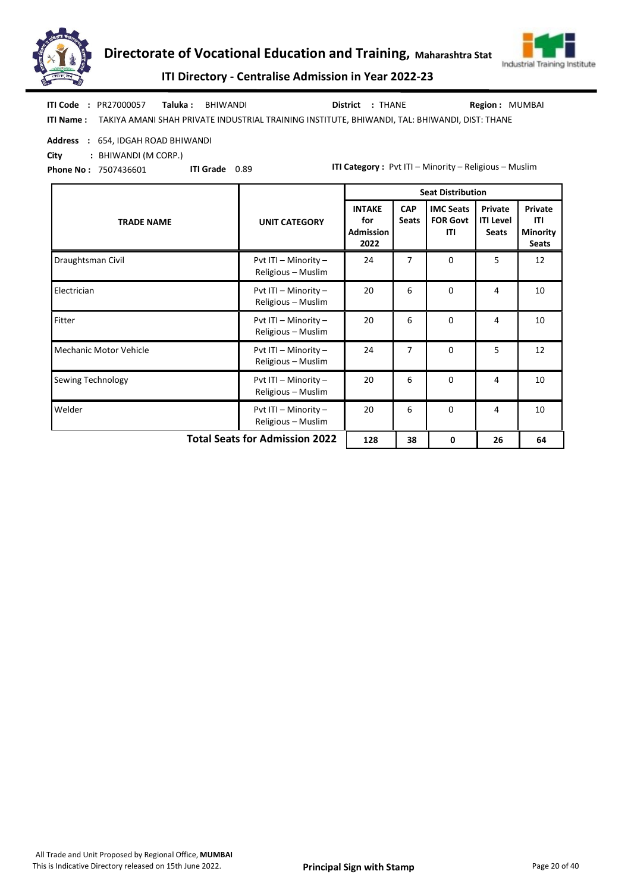



ITI Directory - Centralise Admission in Year 2022-23

ITI Name : TAKIYA AMANI SHAH PRIVATE INDUSTRIAL TRAINING INSTITUTE, BHIWANDI, TAL: BHIWANDI, DIST: THANE Taluka : BHIWANDI District : THANE ITI Code : PR27000057 Taluka : BHIWANDI MUNISAI District : THANE THE Region : MUMBAI

#### Address : 654, IDGAH ROAD BHIWANDI

City : BHIWANDI (M CORP.)

Phone No : 7507436601

ITI Grade 0.89

|                                       |                                            | <b>Seat Distribution</b>                  |                            |                                            |                                             |                                                   |  |
|---------------------------------------|--------------------------------------------|-------------------------------------------|----------------------------|--------------------------------------------|---------------------------------------------|---------------------------------------------------|--|
| <b>TRADE NAME</b>                     | <b>UNIT CATEGORY</b>                       | <b>INTAKE</b><br>for<br>Admission<br>2022 | <b>CAP</b><br><b>Seats</b> | <b>IMC Seats</b><br><b>FOR Govt</b><br>ITI | Private<br><b>ITI Level</b><br><b>Seats</b> | Private<br>ITI<br><b>Minority</b><br><b>Seats</b> |  |
| Draughtsman Civil                     | Pvt ITI - Minority -<br>Religious - Muslim | 24                                        | 7                          | $\Omega$                                   | 5                                           | 12                                                |  |
| Electrician                           | Pvt ITI - Minority -<br>Religious - Muslim | 20                                        | 6                          | $\Omega$                                   | 4                                           | 10                                                |  |
| Fitter                                | Pvt ITI - Minority -<br>Religious - Muslim | 20                                        | 6                          | $\Omega$                                   | 4                                           | 10                                                |  |
| <b>Mechanic Motor Vehicle</b>         | Pvt ITI - Minority -<br>Religious - Muslim | 24                                        | 7                          | $\Omega$                                   | 5                                           | 12                                                |  |
| Sewing Technology                     | Pvt ITI - Minority -<br>Religious - Muslim | 20                                        | 6                          | $\Omega$                                   | 4                                           | 10                                                |  |
| Welder                                | Pvt ITI - Minority -<br>Religious - Muslim | 20                                        | 6                          | $\Omega$                                   | 4                                           | 10                                                |  |
| <b>Total Seats for Admission 2022</b> | 128                                        | 38                                        | 0                          | 26                                         | 64                                          |                                                   |  |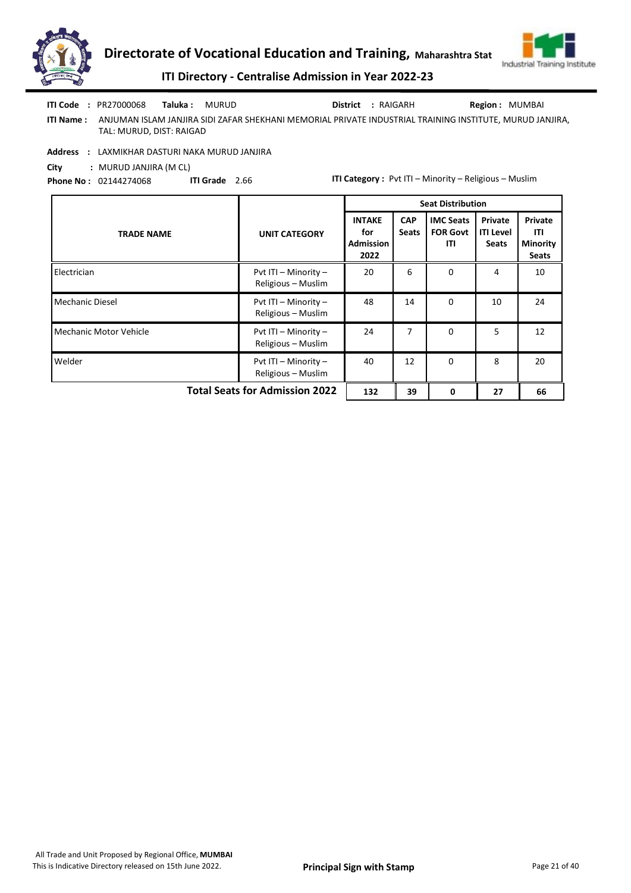



Region : MUMBAI

ITI Directory - Centralise Admission in Year 2022-23

| ITI Code : PR27000068 Taluka : MURUD |  | District : RAIGARH |
|--------------------------------------|--|--------------------|
|                                      |  |                    |

ITI Name : ANJUMAN ISLAM JANJIRA SIDI ZAFAR SHEKHANI MEMORIAL PRIVATE INDUSTRIAL TRAINING INSTITUTE, MURUD JANJIRA, TAL: MURUD, DIST: RAIGAD

Address : LAXMIKHAR DASTURI NAKA MURUD JANJIRA

City : MURUD JANJIRA (M CL)

Phone No : 02144274068 ITI Grade 2.66

|                                       |                                            | <b>Seat Distribution</b>                         |                            |                                            |                                             |                                                   |
|---------------------------------------|--------------------------------------------|--------------------------------------------------|----------------------------|--------------------------------------------|---------------------------------------------|---------------------------------------------------|
| <b>TRADE NAME</b>                     | <b>UNIT CATEGORY</b>                       | <b>INTAKE</b><br>for<br><b>Admission</b><br>2022 | <b>CAP</b><br><b>Seats</b> | <b>IMC Seats</b><br><b>FOR Govt</b><br>ITI | Private<br><b>ITI Level</b><br><b>Seats</b> | Private<br>ITI<br><b>Minority</b><br><b>Seats</b> |
| Electrician                           | Pvt ITI - Minority -<br>Religious - Muslim | 20                                               | 6                          | $\Omega$                                   | 4                                           | 10                                                |
| <b>Mechanic Diesel</b>                | Pvt ITI - Minority -<br>Religious - Muslim | 48                                               | 14                         | $\Omega$                                   | 10                                          | 24                                                |
| <b>Mechanic Motor Vehicle</b>         | Pvt ITI - Minority -<br>Religious - Muslim | 24                                               | 7                          | $\Omega$                                   | 5                                           | 12                                                |
| Welder                                | Pvt ITI - Minority -<br>Religious - Muslim | 40                                               | 12                         | 0                                          | 8                                           | 20                                                |
| <b>Total Seats for Admission 2022</b> | 132                                        | 39                                               | 0                          | 27                                         | 66                                          |                                                   |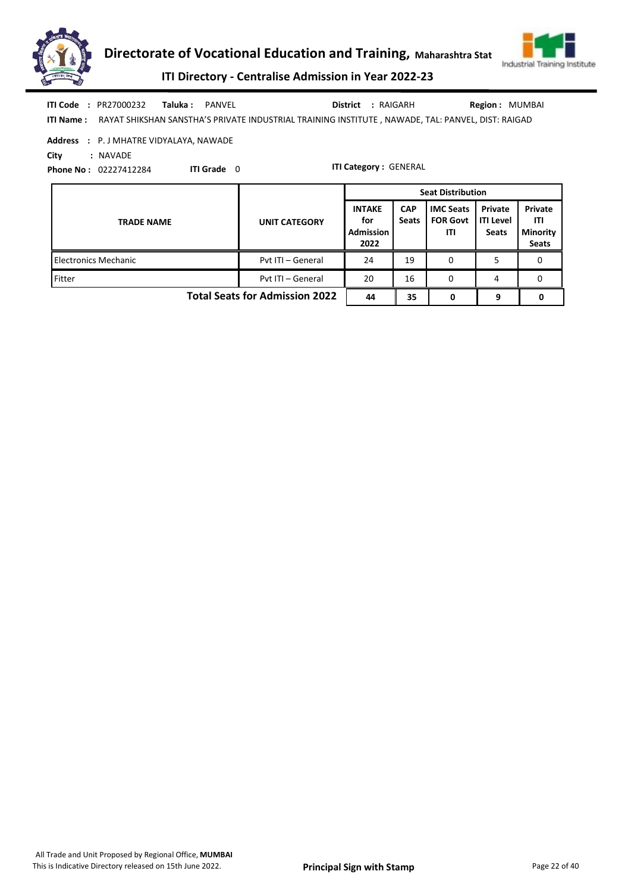



ITI Directory - Centralise Admission in Year 2022-23

|                  | <b>ITI Code : PR27000232</b> | <b>Taluka:</b> PANVEL |  | District : RAIGARH | <b>Region: MUMBAI</b>                                                                              |
|------------------|------------------------------|-----------------------|--|--------------------|----------------------------------------------------------------------------------------------------|
| <b>ITI Name:</b> |                              |                       |  |                    | RAYAT SHIKSHAN SANSTHA'S PRIVATE INDUSTRIAL TRAINING INSTITUTE , NAWADE, TAL: PANVEL, DIST: RAIGAD |

## Address : P. J MHATRE VIDYALAYA, NAWADE

City : NAVADE

Phone No : 02227412284 ITI Grade 0

|                                       |                      | <b>Seat Distribution</b>                         |                            |                                            |                                             |                                                   |  |
|---------------------------------------|----------------------|--------------------------------------------------|----------------------------|--------------------------------------------|---------------------------------------------|---------------------------------------------------|--|
| <b>TRADE NAME</b>                     | <b>UNIT CATEGORY</b> | <b>INTAKE</b><br>for<br><b>Admission</b><br>2022 | <b>CAP</b><br><b>Seats</b> | <b>IMC Seats</b><br><b>FOR Govt</b><br>ITI | Private<br><b>ITI Level</b><br><b>Seats</b> | Private<br>ITI<br><b>Minority</b><br><b>Seats</b> |  |
| <b>Electronics Mechanic</b>           | Pvt ITI - General    | 24                                               | 19                         | 0                                          |                                             | 0                                                 |  |
| Fitter                                | Pvt ITI - General    | 20                                               | 16                         | 0                                          | 4                                           | 0                                                 |  |
| <b>Total Seats for Admission 2022</b> | 44                   | 35                                               | 0                          | 9                                          |                                             |                                                   |  |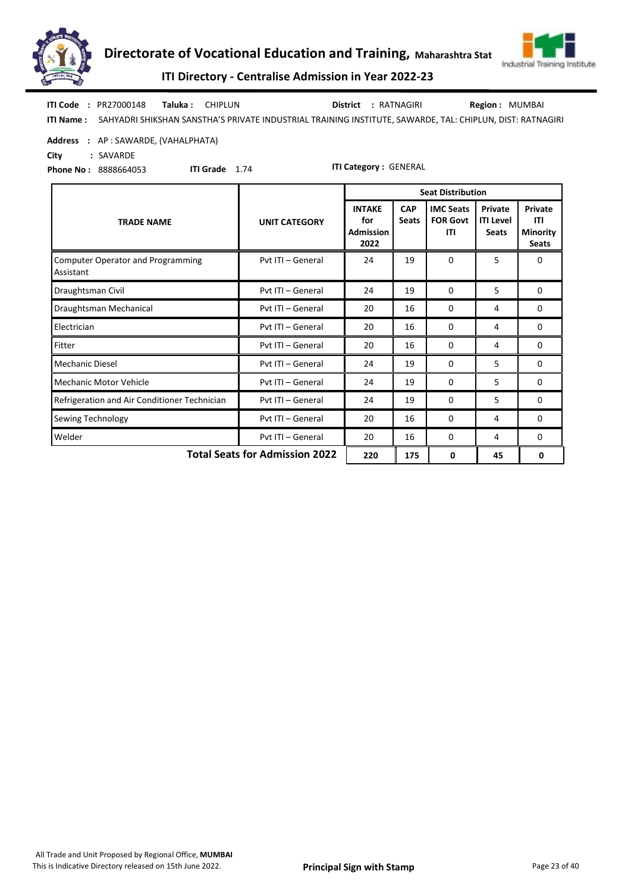



ITI Directory - Centralise Admission in Year 2022-23

| <b>ITI Code</b>  | : PR27000148 | <b>Taluka: CHIPLUN</b> |                                                                                                           | <b>District : RATNAGIRI</b> | Region: MUMBAI |  |
|------------------|--------------|------------------------|-----------------------------------------------------------------------------------------------------------|-----------------------------|----------------|--|
| <b>ITI Name:</b> |              |                        | SAHYADRI SHIKSHAN SANSTHA'S PRIVATE INDUSTRIAL TRAINING INSTITUTE, SAWARDE, TAL: CHIPLUN, DIST: RATNAGIRI |                             |                |  |

#### Address : AP : SAWARDE, (VAHALPHATA)

City : SAVARDE

Phone No : 8888664053

ITI Grade 1.74

|                                                                     |                      | <b>Seat Distribution</b>                         |                            |                                            |                                             |                                                   |  |  |
|---------------------------------------------------------------------|----------------------|--------------------------------------------------|----------------------------|--------------------------------------------|---------------------------------------------|---------------------------------------------------|--|--|
| <b>TRADE NAME</b>                                                   | <b>UNIT CATEGORY</b> | <b>INTAKE</b><br>for<br><b>Admission</b><br>2022 | <b>CAP</b><br><b>Seats</b> | <b>IMC Seats</b><br><b>FOR Govt</b><br>ITI | Private<br><b>ITI Level</b><br><b>Seats</b> | Private<br>ITI<br><b>Minority</b><br><b>Seats</b> |  |  |
| <b>Computer Operator and Programming</b><br>Assistant               | Pyt ITI - General    | 24                                               | 19                         | $\Omega$                                   | 5                                           | $\Omega$                                          |  |  |
| Draughtsman Civil                                                   | Pvt ITI - General    | 24                                               | 19                         | $\Omega$                                   | 5                                           | $\Omega$                                          |  |  |
| Draughtsman Mechanical                                              | Pyt ITI - General    | 20                                               | 16                         | 0                                          | 4                                           | 0                                                 |  |  |
| Electrician                                                         | Pyt ITI - General    | 20                                               | 16                         | $\Omega$                                   | 4                                           | $\Omega$                                          |  |  |
| Fitter                                                              | Pyt ITI - General    | 20                                               | 16                         | 0                                          | 4                                           | 0                                                 |  |  |
| <b>Mechanic Diesel</b>                                              | Pvt ITI - General    | 24                                               | 19                         | $\Omega$                                   | 5                                           | $\Omega$                                          |  |  |
| Mechanic Motor Vehicle                                              | Pyt ITI - General    | 24                                               | 19                         | 0                                          | 5                                           | 0                                                 |  |  |
| Refrigeration and Air Conditioner Technician                        | Pvt ITI - General    | 24                                               | 19                         | 0                                          | 5                                           | 0                                                 |  |  |
| Sewing Technology                                                   | Pvt ITI - General    | 20                                               | 16                         | 0                                          | 4                                           | 0                                                 |  |  |
| Welder                                                              | Pvt ITI - General    | 20                                               | 16                         | 0                                          | 4                                           | 0                                                 |  |  |
| <b>Total Seats for Admission 2022</b><br>220<br>175<br>45<br>0<br>0 |                      |                                                  |                            |                                            |                                             |                                                   |  |  |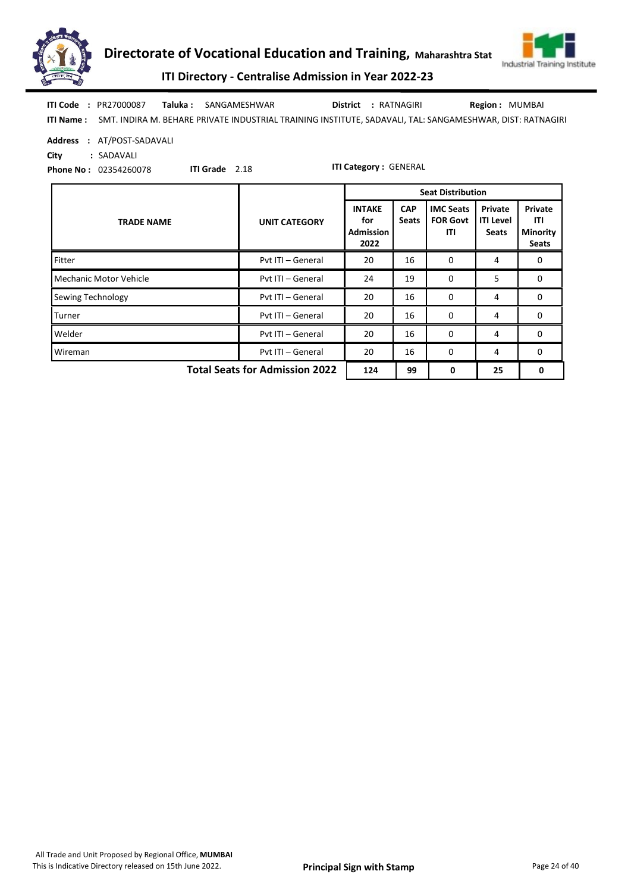



ITI Directory - Centralise Admission in Year 2022-23

ITI Name : SMT. INDIRA M. BEHARE PRIVATE INDUSTRIAL TRAINING INSTITUTE, SADAVALI, TAL: SANGAMESHWAR, DIST: RATNAGIRI Taluka : SANGAMESHWAR District : RATNAGIRI ITI Code : PR27000087 Region : MUMBAI

Address : AT/POST-SADAVALI

City : SADAVALI

Phone No : 02354260078

ITI Grade 2.18

|                                       |                      | <b>Seat Distribution</b>                         |                            |                                            |                                             |                                                   |  |
|---------------------------------------|----------------------|--------------------------------------------------|----------------------------|--------------------------------------------|---------------------------------------------|---------------------------------------------------|--|
| <b>TRADE NAME</b>                     | <b>UNIT CATEGORY</b> | <b>INTAKE</b><br>for<br><b>Admission</b><br>2022 | <b>CAP</b><br><b>Seats</b> | <b>IMC Seats</b><br><b>FOR Govt</b><br>ITI | Private<br><b>ITI Level</b><br><b>Seats</b> | Private<br>ITI<br><b>Minority</b><br><b>Seats</b> |  |
| Fitter                                | Pyt ITI - General    | 20                                               | 16                         | $\Omega$                                   | 4                                           | 0                                                 |  |
| Mechanic Motor Vehicle                | Pvt ITI - General    | 24                                               | 19                         | 0                                          | 5                                           | 0                                                 |  |
| <b>Sewing Technology</b>              | Pvt ITI - General    | 20                                               | 16                         | $\Omega$                                   | 4                                           | $\Omega$                                          |  |
| Turner                                | Pyt ITI - General    | 20                                               | 16                         | 0                                          | 4                                           | 0                                                 |  |
| Welder                                | Pvt ITI - General    | 20                                               | 16                         | 0                                          | 4                                           | $\Omega$                                          |  |
| Wireman                               | Pvt ITI - General    | 20                                               | 16                         | 0                                          | 4                                           | 0                                                 |  |
| <b>Total Seats for Admission 2022</b> | 124                  | 99                                               | 0                          | 25                                         | 0                                           |                                                   |  |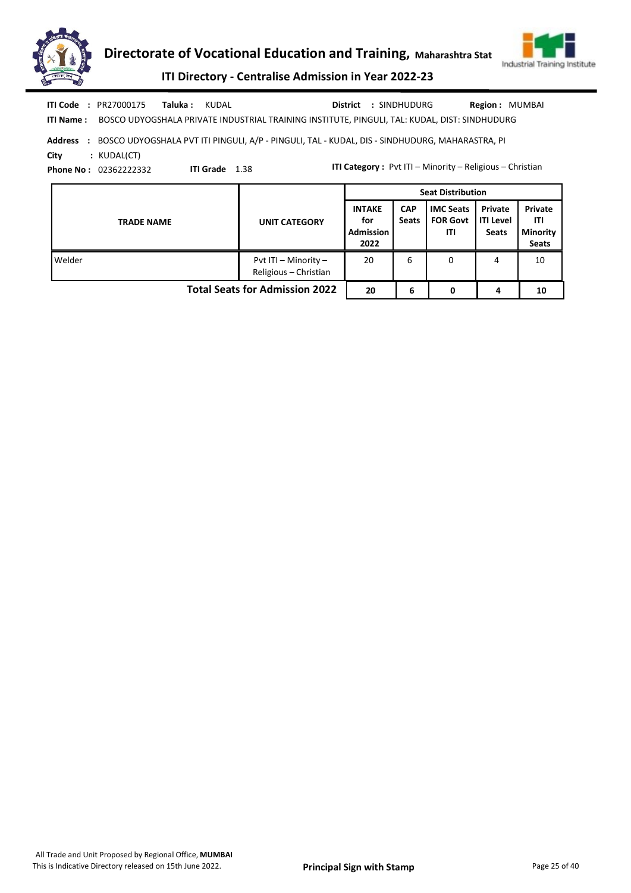



ITI Directory - Centralise Admission in Year 2022-23

| <b>ITI Code : PR27000175</b> | <b>Taluka : KUDAL</b> |  |  | District : SINDHUDURG |  | Region : MUMBAI |
|------------------------------|-----------------------|--|--|-----------------------|--|-----------------|
|                              |                       |  |  |                       |  |                 |

ITI Name : BOSCO UDYOGSHALA PRIVATE INDUSTRIAL TRAINING INSTITUTE, PINGULI, TAL: KUDAL, DIST: SINDHUDURG

Address : BOSCO UDYOGSHALA PVT ITI PINGULI, A/P - PINGULI, TAL - KUDAL, DIS - SINDHUDURG, MAHARASTRA, PI City : KUDAL(CT)

Phone No : 02362222332

ITI Grade 1.38

|                                       |                                               | <b>Seat Distribution</b>                         |                            |                                            |                                             |                                                   |  |
|---------------------------------------|-----------------------------------------------|--------------------------------------------------|----------------------------|--------------------------------------------|---------------------------------------------|---------------------------------------------------|--|
| <b>TRADE NAME</b>                     | <b>UNIT CATEGORY</b>                          | <b>INTAKE</b><br>for<br><b>Admission</b><br>2022 | <b>CAP</b><br><b>Seats</b> | <b>IMC Seats</b><br><b>FOR Govt</b><br>ΙTΙ | Private<br><b>ITI Level</b><br><b>Seats</b> | Private<br>ITI<br><b>Minority</b><br><b>Seats</b> |  |
| Welder                                | Pvt ITI - Minority -<br>Religious - Christian | 20                                               | 6                          | 0                                          | 4                                           | 10                                                |  |
| <b>Total Seats for Admission 2022</b> | 20                                            | 6                                                |                            | 4                                          | 10                                          |                                                   |  |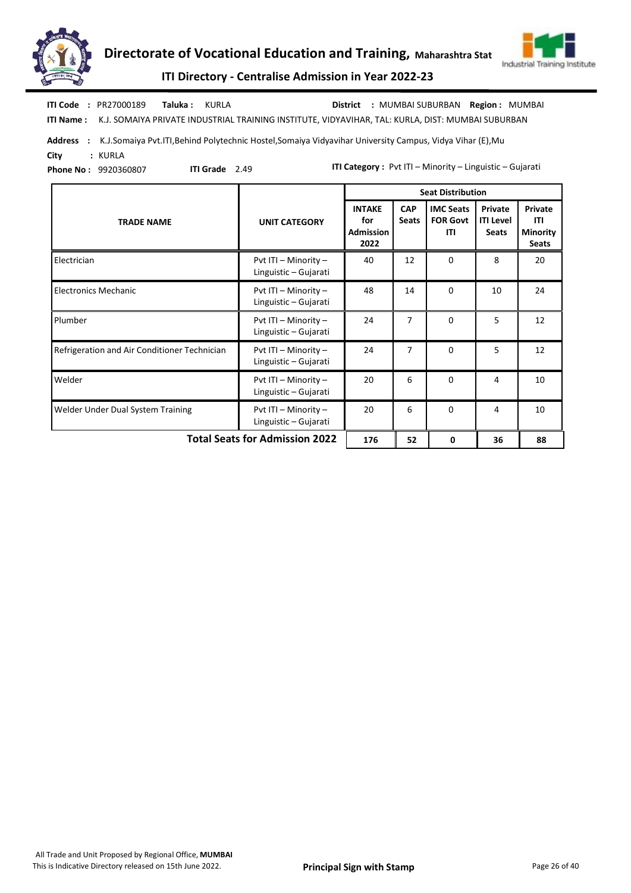



ITI Name : K.J. SOMAIYA PRIVATE INDUSTRIAL TRAINING INSTITUTE, VIDYAVIHAR, TAL: KURLA, DIST: MUMBAI SUBURBAN ITI Code : PR27000189 Taluka : KURLA District : MUMBAI SUBURBAN Region : MUMBAI

Address : K.J.Somaiya Pvt.ITI,Behind Polytechnic Hostel,Somaiya Vidyavihar University Campus, Vidya Vihar (E),Mu City : KURLA

Phone No : 9920360807

ITI Grade 2.49

ITI Category : Pvt ITI – Minority – Linguistic – Gujarati

|                                              |                                                   |                                                  |                            | <b>Seat Distribution</b>                   |                                             |                                                   |
|----------------------------------------------|---------------------------------------------------|--------------------------------------------------|----------------------------|--------------------------------------------|---------------------------------------------|---------------------------------------------------|
| <b>TRADE NAME</b>                            | <b>UNIT CATEGORY</b>                              | <b>INTAKE</b><br>for<br><b>Admission</b><br>2022 | <b>CAP</b><br><b>Seats</b> | <b>IMC Seats</b><br><b>FOR Govt</b><br>ITI | Private<br><b>ITI Level</b><br><b>Seats</b> | Private<br>ITI<br><b>Minority</b><br><b>Seats</b> |
| Electrician                                  | Pvt ITI $-$ Minority $-$<br>Linguistic - Gujarati | 40                                               | 12                         | $\Omega$                                   | 8                                           | 20                                                |
| <b>Electronics Mechanic</b>                  | Pvt ITI - Minority -<br>Linguistic - Gujarati     | 48                                               | 14                         | $\Omega$                                   | 10                                          | 24                                                |
| Plumber                                      | Pvt ITI - Minority -<br>Linguistic - Gujarati     | 24                                               | 7                          | $\Omega$                                   | 5                                           | 12                                                |
| Refrigeration and Air Conditioner Technician | Pvt ITI $-$ Minority $-$<br>Linguistic - Gujarati | 24                                               | 7                          | $\Omega$                                   | 5                                           | 12                                                |
| Welder                                       | Pvt ITI - Minority -<br>Linguistic - Gujarati     | 20                                               | 6                          | $\Omega$                                   | 4                                           | 10                                                |
| Welder Under Dual System Training            | Pvt ITI - Minority -<br>Linguistic - Gujarati     | 20                                               | 6                          | $\Omega$                                   | 4                                           | 10                                                |
| <b>Total Seats for Admission 2022</b>        | 176                                               | 52                                               | 0                          | 36                                         | 88                                          |                                                   |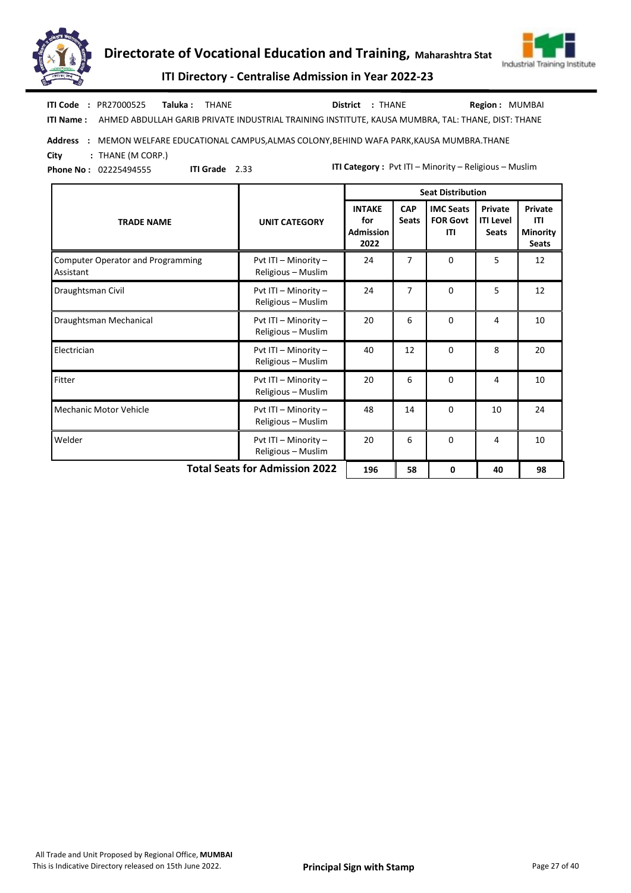



ITI Directory - Centralise Admission in Year 2022-23

Taluka : THANE District : THANE ITI Code : PR27000525 Taluka : THANE District : THANE Region : MUMBAI

ITI Grade 2.33

ITI Name : AHMED ABDULLAH GARIB PRIVATE INDUSTRIAL TRAINING INSTITUTE, KAUSA MUMBRA, TAL: THANE, DIST: THANE

Address : MEMON WELFARE EDUCATIONAL CAMPUS, ALMAS COLONY, BEHIND WAFA PARK, KAUSA MUMBRA. THANE

City : THANE (M CORP.)

Phone No : 02225494555

|                                                       |                                            | <b>Seat Distribution</b>                         |                            |                                            |                                             |                                                          |  |  |
|-------------------------------------------------------|--------------------------------------------|--------------------------------------------------|----------------------------|--------------------------------------------|---------------------------------------------|----------------------------------------------------------|--|--|
| <b>TRADE NAME</b>                                     | <b>UNIT CATEGORY</b>                       | <b>INTAKE</b><br>for<br><b>Admission</b><br>2022 | <b>CAP</b><br><b>Seats</b> | <b>IMC Seats</b><br><b>FOR Govt</b><br>ITI | Private<br><b>ITI Level</b><br><b>Seats</b> | Private<br><b>ITI</b><br><b>Minority</b><br><b>Seats</b> |  |  |
| <b>Computer Operator and Programming</b><br>Assistant | Pvt ITI - Minority -<br>Religious - Muslim | 24                                               | 7                          | $\Omega$                                   | 5                                           | 12                                                       |  |  |
| Draughtsman Civil                                     | Pvt ITI - Minority -<br>Religious - Muslim | 24                                               | $\overline{7}$             | $\Omega$                                   | 5                                           | 12                                                       |  |  |
| Draughtsman Mechanical                                | Pvt ITI - Minority -<br>Religious - Muslim | 20                                               | 6                          | $\Omega$                                   | 4                                           | 10                                                       |  |  |
| Electrician                                           | Pvt ITI - Minority -<br>Religious - Muslim | 40                                               | 12                         | $\Omega$                                   | 8                                           | 20                                                       |  |  |
| Fitter                                                | Pvt ITI - Minority -<br>Religious - Muslim | 20                                               | 6                          | $\Omega$                                   | 4                                           | 10                                                       |  |  |
| Mechanic Motor Vehicle                                | Pvt ITI - Minority -<br>Religious - Muslim | 48                                               | 14                         | $\Omega$                                   | 10                                          | 24                                                       |  |  |
| Welder                                                | Pvt ITI - Minority -<br>Religious - Muslim | 20                                               | 6                          | $\Omega$                                   | 4                                           | 10                                                       |  |  |
| <b>Total Seats for Admission 2022</b>                 | 196                                        | 58                                               | 0                          | 40                                         | 98                                          |                                                          |  |  |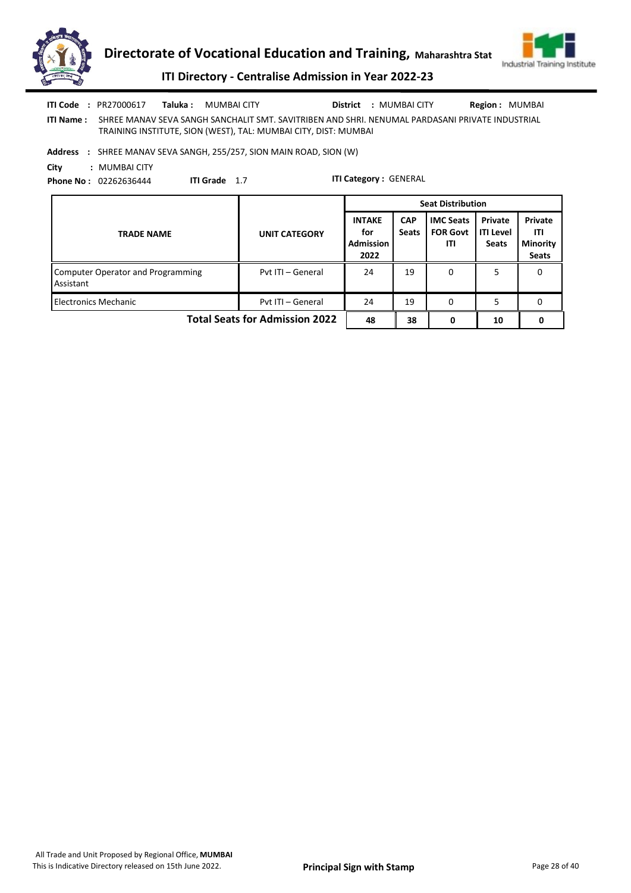

ITI Name : SHREE MANAV SEVA SANGH SANCHALIT SMT. SAVITRIBEN AND SHRI. NENUMAL PARDASANI PRIVATE INDUSTRIAL TRAINING INSTITUTE, SION (WEST), TAL: MUMBAI CITY, DIST: MUMBAI ITI Code : PR27000617 Taluka : MUMBAI CITY District : MUMBAI CITY Region : MUMBAI

Address : SHREE MANAV SEVA SANGH, 255/257, SION MAIN ROAD, SION (W)

City : MUMBAI CITY Phone No : 02262636444

ITI Grade 1.7

|                                                       |                      | <b>Seat Distribution</b>                         |                            |                                            |                                      |                                                   |
|-------------------------------------------------------|----------------------|--------------------------------------------------|----------------------------|--------------------------------------------|--------------------------------------|---------------------------------------------------|
| <b>TRADE NAME</b>                                     | <b>UNIT CATEGORY</b> | <b>INTAKE</b><br>for<br><b>Admission</b><br>2022 | <b>CAP</b><br><b>Seats</b> | <b>IMC Seats</b><br><b>FOR Govt</b><br>ITI | Private<br>ITI Level<br><b>Seats</b> | Private<br>ITI<br><b>Minority</b><br><b>Seats</b> |
| <b>Computer Operator and Programming</b><br>Assistant | Pvt ITI - General    | 24                                               | 19                         | 0                                          | 5                                    | 0                                                 |
| <b>Electronics Mechanic</b>                           | Pyt ITI - General    | 24                                               | 19                         | 0                                          | 5                                    | 0                                                 |
| <b>Total Seats for Admission 2022</b>                 | 48                   | 38                                               | 0                          | 10                                         | 0                                    |                                                   |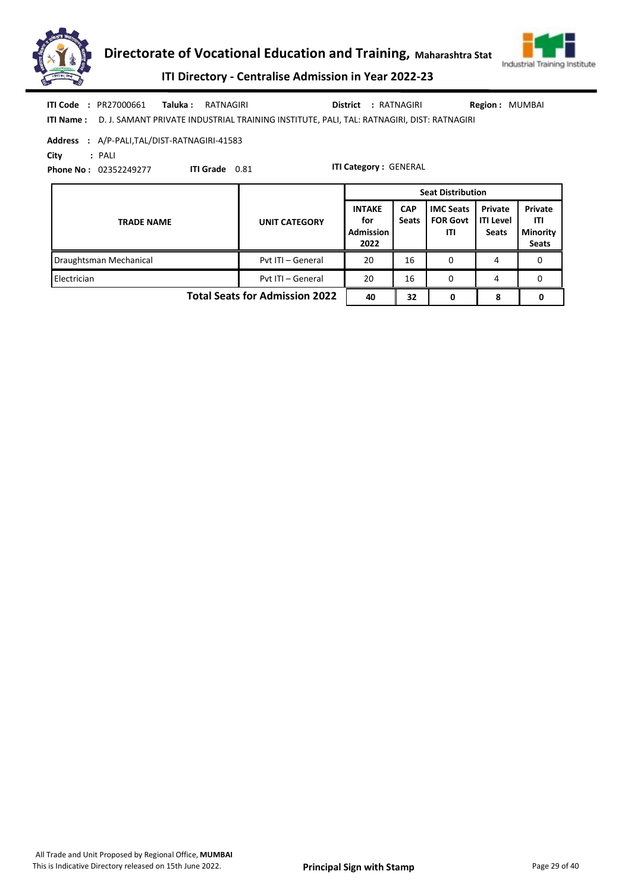



ITI Directory - Centralise Admission in Year 2022-23

| <b>ITI Code : PR27000661</b> | <b>Taluka : RATNAGIRI</b>                                                                           | District : RATNAGIRI | <b>Region: MUMBAI</b> |
|------------------------------|-----------------------------------------------------------------------------------------------------|----------------------|-----------------------|
|                              | ITI Name: D. J. SAMANT PRIVATE INDUSTRIAL TRAINING INSTITUTE, PALI, TAL: RATNAGIRI, DIST: RATNAGIRI |                      |                       |

Address : A/P-PALI,TAL/DIST-RATNAGIRI-41583

City : PALI

Phone No : 02352249277

ITI Grade 0.81

|                                       |                      | <b>Seat Distribution</b>                         |                            |                                            |                                      |                                                   |
|---------------------------------------|----------------------|--------------------------------------------------|----------------------------|--------------------------------------------|--------------------------------------|---------------------------------------------------|
| <b>TRADE NAME</b>                     | <b>UNIT CATEGORY</b> | <b>INTAKE</b><br>for<br><b>Admission</b><br>2022 | <b>CAP</b><br><b>Seats</b> | <b>IMC Seats</b><br><b>FOR Govt</b><br>ITI | Private<br>ITI Level<br><b>Seats</b> | Private<br>ITI<br><b>Minority</b><br><b>Seats</b> |
| Draughtsman Mechanical                | Pyt ITI - General    | 20                                               | 16                         | 0                                          | 4                                    | 0                                                 |
| Electrician                           | Pyt ITI - General    | 20                                               | 16                         | $\Omega$                                   | 4                                    | 0                                                 |
| <b>Total Seats for Admission 2022</b> | 40                   | 32                                               |                            | 8                                          |                                      |                                                   |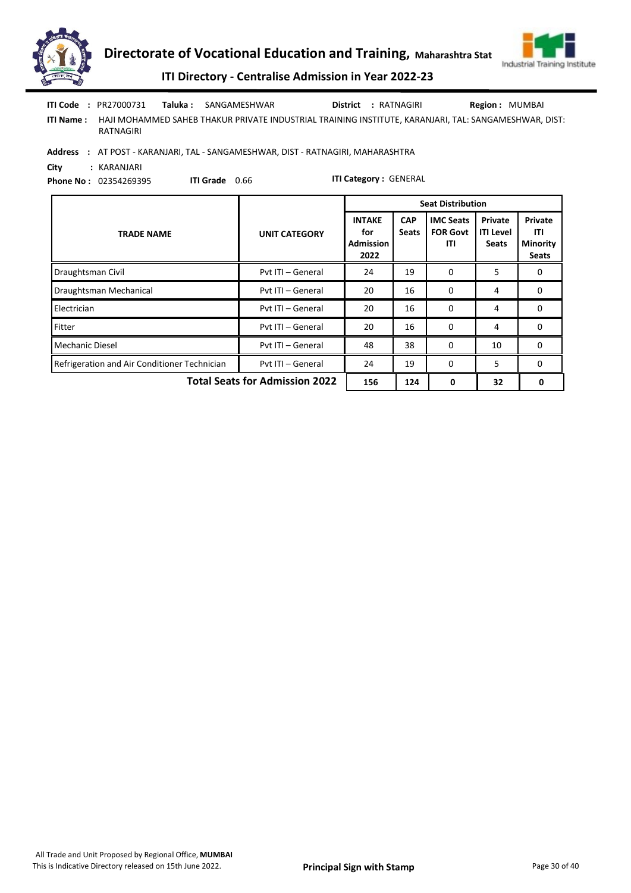



ITI Directory - Centralise Admission in Year 2022-23

|                  | <b>ITI Code : PR27000731</b> | <b>Taluka:</b> SANGAMESHWAR                                                                           | District : RATNAGIRI | <b>Region: MUMBAI</b> |
|------------------|------------------------------|-------------------------------------------------------------------------------------------------------|----------------------|-----------------------|
| <b>ITI Name:</b> | RATNAGIRI                    | HAJI MOHAMMED SAHEB THAKUR PRIVATE INDUSTRIAL TRAINING INSTITUTE, KARANJARI, TAL: SANGAMESHWAR, DIST: |                      |                       |
|                  |                              | Address : AT POST - KARANJARI, TAL - SANGAMESHWAR, DIST - RATNAGIRI, MAHARASHTRA                      |                      |                       |

City : KARANJARI Phone No : 02354269395

ITI Grade 0.66

|                                              |                                                                     |                                                  |                            | <b>Seat Distribution</b>                   |                                      |                                                   |  |  |  |  |
|----------------------------------------------|---------------------------------------------------------------------|--------------------------------------------------|----------------------------|--------------------------------------------|--------------------------------------|---------------------------------------------------|--|--|--|--|
| <b>TRADE NAME</b>                            | <b>UNIT CATEGORY</b>                                                | <b>INTAKE</b><br>for<br><b>Admission</b><br>2022 | <b>CAP</b><br><b>Seats</b> | <b>IMC Seats</b><br><b>FOR Govt</b><br>ITI | Private<br><b>ITI Level</b><br>Seats | Private<br>ITI<br><b>Minority</b><br><b>Seats</b> |  |  |  |  |
| Draughtsman Civil                            | Pvt ITI - General                                                   | 24                                               | 19                         | 0                                          | 5                                    | 0                                                 |  |  |  |  |
| Draughtsman Mechanical                       | Pvt ITI - General                                                   | 20                                               | 16                         | 0                                          | 4                                    | 0                                                 |  |  |  |  |
| Electrician                                  | Pvt ITI - General                                                   | 20                                               | 16                         | $\Omega$                                   | 4                                    | 0                                                 |  |  |  |  |
| Fitter                                       | Pvt ITI - General                                                   | 20                                               | 16                         | 0                                          | 4                                    | 0                                                 |  |  |  |  |
| <b>Mechanic Diesel</b>                       | Pvt ITI - General                                                   | 48                                               | 38                         | 0                                          | 10                                   | 0                                                 |  |  |  |  |
| Refrigeration and Air Conditioner Technician | Pvt ITI - General                                                   | 24                                               | 19                         | 0                                          | 5                                    | 0                                                 |  |  |  |  |
|                                              | <b>Total Seats for Admission 2022</b><br>156<br>124<br>32<br>0<br>0 |                                                  |                            |                                            |                                      |                                                   |  |  |  |  |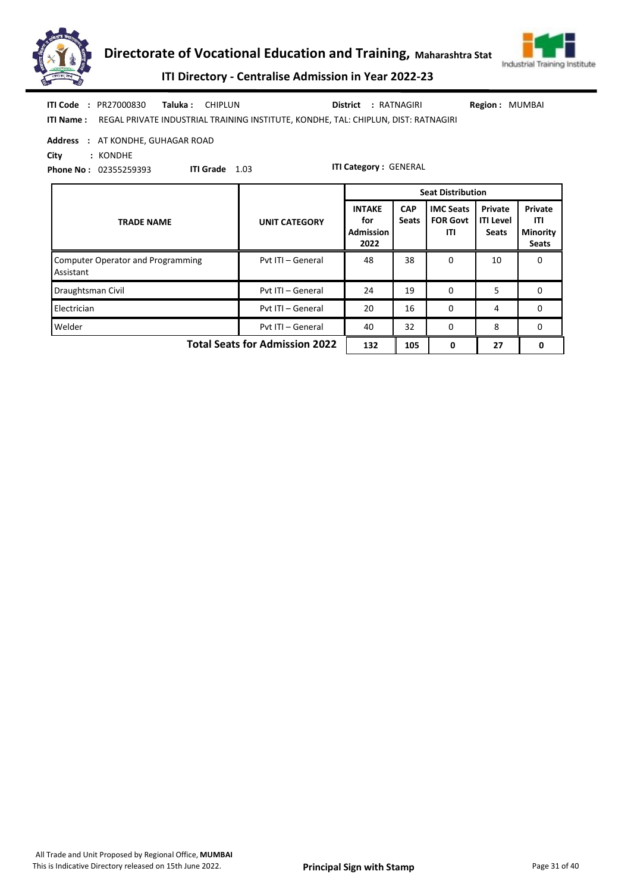



ITI Directory - Centralise Admission in Year 2022-23

| <b>ITI Code : PR27000830</b> | <b>Taluka : CHIPLUN</b> |                                                                                                     | District : RATNAGIRI | <b>Region: MUMBAI</b> |  |
|------------------------------|-------------------------|-----------------------------------------------------------------------------------------------------|----------------------|-----------------------|--|
|                              |                         | <b>ITI Name:</b> REGAL PRIVATE INDUSTRIAL TRAINING INSTITUTE, KONDHE, TAL: CHIPLUN, DIST: RATNAGIRI |                      |                       |  |

#### Address : AT KONDHE, GUHAGAR ROAD

City : KONDHE

Phone No : 02355259393

ITI Grade 1.03

|                                                |                      |                                                  |                            | <b>Seat Distribution</b>                   |                                             |                                                   |
|------------------------------------------------|----------------------|--------------------------------------------------|----------------------------|--------------------------------------------|---------------------------------------------|---------------------------------------------------|
| <b>TRADE NAME</b>                              | <b>UNIT CATEGORY</b> | <b>INTAKE</b><br>for<br><b>Admission</b><br>2022 | <b>CAP</b><br><b>Seats</b> | <b>IMC Seats</b><br><b>FOR Govt</b><br>ITI | Private<br><b>ITI Level</b><br><b>Seats</b> | Private<br>ITI<br><b>Minority</b><br><b>Seats</b> |
| Computer Operator and Programming<br>Assistant | Pyt ITI - General    | 48                                               | 38                         | 0                                          | 10                                          | 0                                                 |
| Draughtsman Civil                              | Pvt ITI - General    | 24                                               | 19                         | $\Omega$                                   | 5                                           | 0                                                 |
| Electrician                                    | Pvt ITI - General    | 20                                               | 16                         | $\Omega$                                   | 4                                           | 0                                                 |
| Welder                                         | Pvt ITI - General    | 40                                               | 32                         | $\Omega$                                   | 8                                           | 0                                                 |
| <b>Total Seats for Admission 2022</b>          | 132                  | 105                                              | 0                          | 27                                         | 0                                           |                                                   |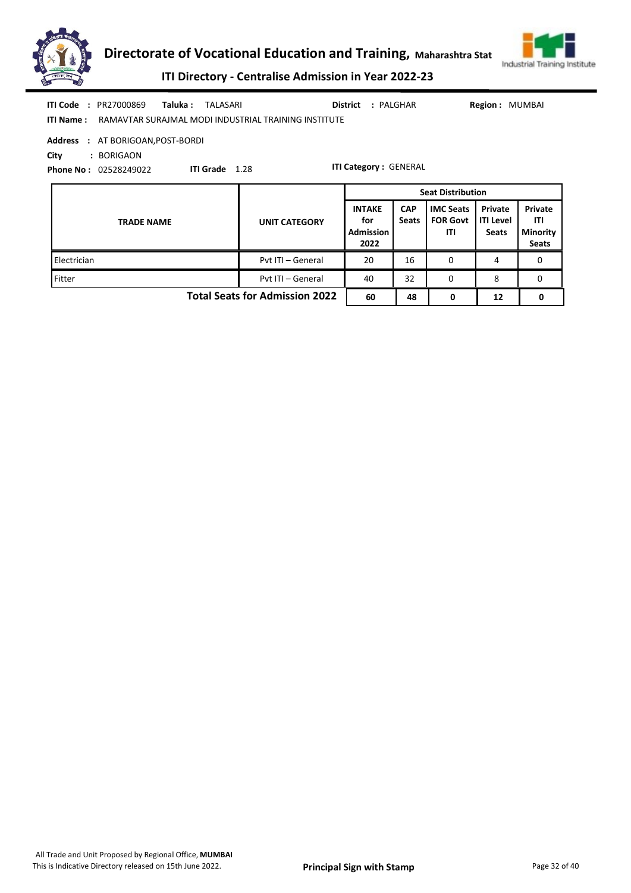



ITI Directory - Centralise Admission in Year 2022-23

| <b>ITI Code : PR27000869</b><br>Taluka :<br><b>ITI Name:</b>                               | TALASARI<br>District<br>: PALGHAR<br>Region: MUMBAI<br>RAMAVTAR SURAJMAL MODI INDUSTRIAL TRAINING INSTITUTE |                                                  |                            |                                                                        |                                             |                                                   |  |
|--------------------------------------------------------------------------------------------|-------------------------------------------------------------------------------------------------------------|--------------------------------------------------|----------------------------|------------------------------------------------------------------------|---------------------------------------------|---------------------------------------------------|--|
| : AT BORIGOAN, POST-BORDI<br>Address<br>City<br>: BORIGAON<br><b>Phone No: 02528249022</b> | ITI Grade 1.28                                                                                              | <b>ITI Category: GENERAL</b>                     |                            |                                                                        |                                             |                                                   |  |
| <b>TRADE NAME</b>                                                                          | <b>UNIT CATEGORY</b>                                                                                        | <b>INTAKE</b><br>for<br><b>Admission</b><br>2022 | <b>CAP</b><br><b>Seats</b> | <b>Seat Distribution</b><br><b>IMC Seats</b><br><b>FOR Govt</b><br>ITI | Private<br><b>ITI Level</b><br><b>Seats</b> | Private<br>ITI<br><b>Minority</b><br><b>Seats</b> |  |
| Electrician                                                                                | Pvt ITI - General                                                                                           | 20                                               | 16                         | $\Omega$                                                               | 4                                           | 0                                                 |  |
| Fitter                                                                                     | Pvt ITI - General                                                                                           | 40                                               | 32                         | 0                                                                      | 8                                           | 0                                                 |  |

Total Seats for Admission 2022 60 48 0 12 0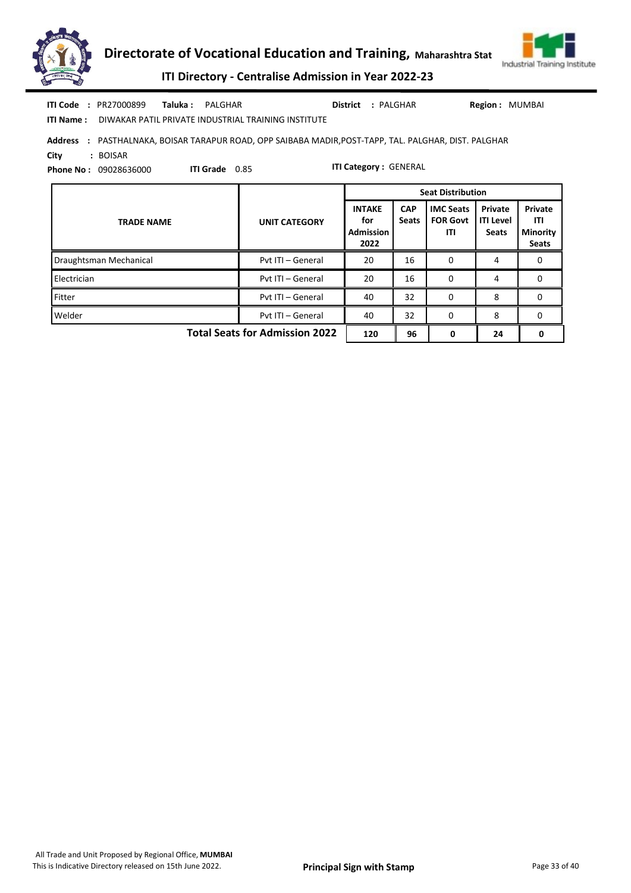



ITI Directory - Centralise Admission in Year 2022-23

|            | <b>ITI Code : PR27000899</b> | Taluka: PALGHAR |                       |                                                                                               | District : PALGHAR           | Region: MUMBAI |  |
|------------|------------------------------|-----------------|-----------------------|-----------------------------------------------------------------------------------------------|------------------------------|----------------|--|
| ITI Name : |                              |                 |                       | DIWAKAR PATIL PRIVATE INDUSTRIAL TRAINING INSTITUTE                                           |                              |                |  |
| Address    |                              |                 |                       | : PASTHALNAKA, BOISAR TARAPUR ROAD, OPP SAIBABA MADIR, POST-TAPP, TAL. PALGHAR, DIST. PALGHAR |                              |                |  |
| City       | : BOISAR                     |                 |                       |                                                                                               |                              |                |  |
|            | <b>Phone No: 09028636000</b> |                 | <b>ITI Grade</b> 0.85 |                                                                                               | <b>ITI Category: GENERAL</b> |                |  |

TRADE NAME UNIT CATEGORY INTAKE for Admission 2022 **CAP** Seats IMC Seats FOR Govt ITI Private ITI Level **Seats** Private ITI Minority Seats Seat Distribution Draughtsman Mechanical **Pvt ITI – General 20 16 0 4 0** 0 Electrician **Pvt ITI – General 20 16 0 4 0** 0 **Fitter Pvt ITI – General 40 32 0 8 0** 0 Welder **Product Communist Product Product Article Communist Additional Article Communist Article Communist Communist Communist Communist Communist Communist Communist Communist Communist Communist Communist Communist Commu** Total Seats for Admission 2022 120 96 0 24 0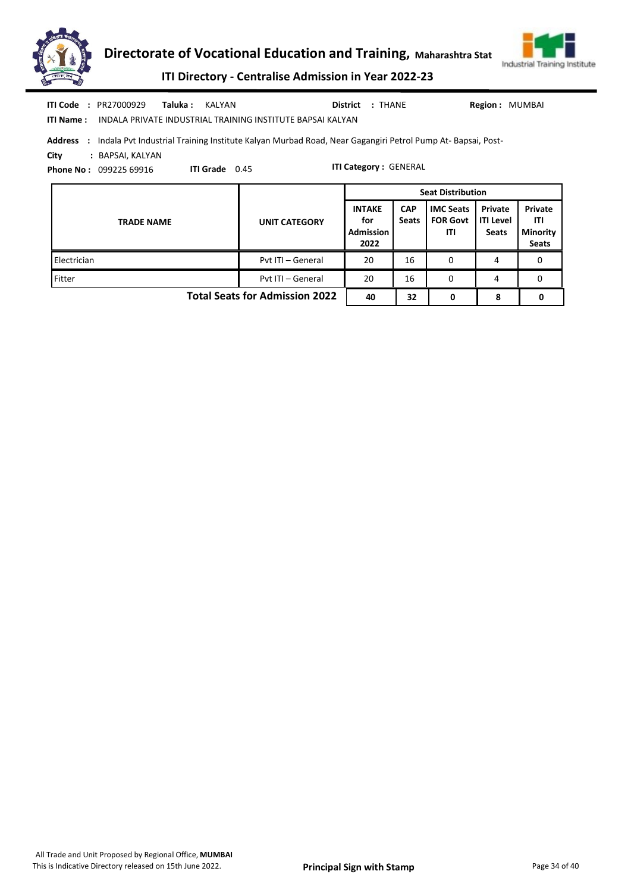



ITI Directory - Centralise Admission in Year 2022-23

| ITI Code<br><b>ITI Name:</b> | : PR27000929<br>Taluka :<br>KALYAN<br>INDALA PRIVATE INDUSTRIAL TRAINING INSTITUTE BAPSAI KALYAN                                                                                         |                      | District : THANE                          |                            |                                            | Region: MUMBAI                              |                                                   |
|------------------------------|------------------------------------------------------------------------------------------------------------------------------------------------------------------------------------------|----------------------|-------------------------------------------|----------------------------|--------------------------------------------|---------------------------------------------|---------------------------------------------------|
| <b>Address</b><br>City       | : Indala Pvt Industrial Training Institute Kalyan Murbad Road, Near Gagangiri Petrol Pump At-Bapsai, Post-<br>: BAPSAI, KALYAN<br><b>ITI Grade</b> 0.45<br><b>Phone No: 099225 69916</b> |                      | <b>ITI Category: GENERAL</b>              |                            |                                            |                                             |                                                   |
|                              |                                                                                                                                                                                          |                      |                                           |                            | <b>Seat Distribution</b>                   |                                             |                                                   |
|                              | <b>TRADE NAME</b>                                                                                                                                                                        | <b>UNIT CATEGORY</b> | <b>INTAKE</b><br>for<br>Admission<br>2022 | <b>CAP</b><br><b>Seats</b> | <b>IMC Seats</b><br><b>FOR Govt</b><br>ITI | Private<br><b>ITI Level</b><br><b>Seats</b> | Private<br>ITI<br><b>Minority</b><br><b>Seats</b> |
| Electrician                  |                                                                                                                                                                                          | Pyt ITI - General    | 20                                        | 16                         | 0                                          | 4                                           | 0                                                 |
| Fitter                       |                                                                                                                                                                                          | Pvt ITI - General    | 20                                        | 16                         | 0                                          | 4                                           | 0                                                 |

Total Seats for Admission 2022  $\begin{array}{|c|c|c|c|c|c|c|c|} \hline 40 & 32 & 0 & 8 & 0 \ \hline \end{array}$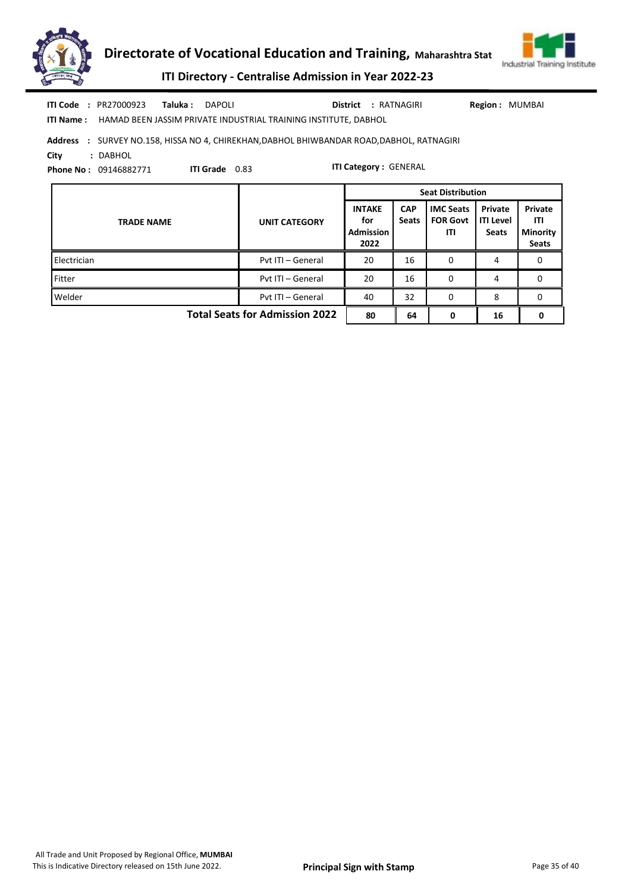



ITI Directory - Centralise Admission in Year 2022-23

|            | <b>ITI Code : PR27000923</b> | Taluka : | DAPOLI                                                                                    |  | District : RATNAGIRI | <b>Region: MUMBAI</b> |
|------------|------------------------------|----------|-------------------------------------------------------------------------------------------|--|----------------------|-----------------------|
| ITI Name : |                              |          | HAMAD BEEN JASSIM PRIVATE INDUSTRIAL TRAINING INSTITUTE. DABHOL                           |  |                      |                       |
|            |                              |          | Address : SURVEY NO.158, HISSA NO 4, CHIREKHAN, DABHOL BHIWBANDAR ROAD, DABHOL, RATNAGIRI |  |                      |                       |
| City       | : DABHOL                     |          |                                                                                           |  |                      |                       |

ITI Grade 0.83

Phone No : 09146882771

|                                                                   |                      |                                                  |                            | <b>Seat Distribution</b>                   |                                             |                                                   |
|-------------------------------------------------------------------|----------------------|--------------------------------------------------|----------------------------|--------------------------------------------|---------------------------------------------|---------------------------------------------------|
| <b>TRADE NAME</b>                                                 | <b>UNIT CATEGORY</b> | <b>INTAKE</b><br>for<br><b>Admission</b><br>2022 | <b>CAP</b><br><b>Seats</b> | <b>IMC Seats</b><br><b>FOR Govt</b><br>ITI | Private<br><b>ITI Level</b><br><b>Seats</b> | Private<br>ITI<br><b>Minority</b><br><b>Seats</b> |
| Electrician                                                       | Pvt ITI - General    | 20                                               | 16                         | 0                                          | 4                                           | 0                                                 |
| Fitter                                                            | Pvt ITI - General    | 20                                               | 16                         | 0                                          | 4                                           | 0                                                 |
| Welder                                                            | Pvt ITI - General    | 40                                               | 32                         | 0                                          | 8                                           | 0                                                 |
| <b>Total Seats for Admission 2022</b><br>80<br>16<br>64<br>0<br>0 |                      |                                                  |                            |                                            |                                             |                                                   |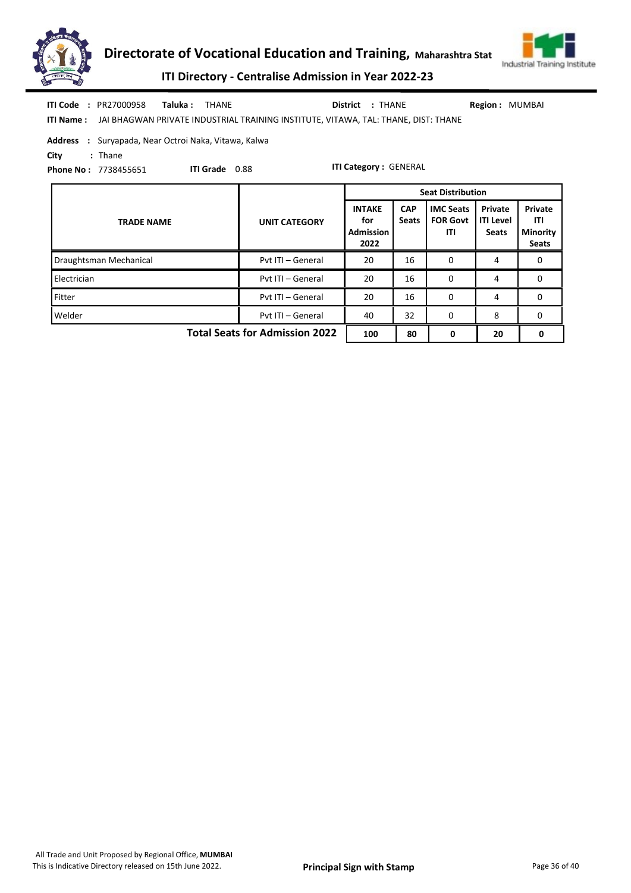



ITI Directory - Centralise Admission in Year 2022-23

| <b>ITI Code : PR27000958</b><br>Taluka :<br>THANE<br><b>ITI Name:</b> JAI BHAGWAN PRIVATE INDUSTRIAL TRAINING INSTITUTE, VITAWA, TAL: THANE, DIST: THANE |                      | District : THANE                                 |                            |                                            | Region: MUMBAI                              |                                                          |
|----------------------------------------------------------------------------------------------------------------------------------------------------------|----------------------|--------------------------------------------------|----------------------------|--------------------------------------------|---------------------------------------------|----------------------------------------------------------|
| <b>Address</b> : Suryapada, Near Octroi Naka, Vitawa, Kalwa<br>$:$ Thane<br>City<br><b>ITI Grade</b> 0.88<br><b>Phone No: 7738455651</b>                 |                      | <b>ITI Category: GENERAL</b>                     |                            |                                            |                                             |                                                          |
|                                                                                                                                                          |                      |                                                  |                            | <b>Seat Distribution</b>                   |                                             |                                                          |
| <b>TRADE NAME</b>                                                                                                                                        | <b>UNIT CATEGORY</b> | <b>INTAKE</b><br>for<br><b>Admission</b><br>2022 | <b>CAP</b><br><b>Seats</b> | <b>IMC Seats</b><br><b>FOR Govt</b><br>ITI | Private<br><b>ITI Level</b><br><b>Seats</b> | <b>Private</b><br>ITI<br><b>Minority</b><br><b>Seats</b> |
| Draughtsman Mechanical                                                                                                                                   | Pyt ITI - General    | 20                                               | 16                         | 0                                          | 4                                           | 0                                                        |
| Electrician                                                                                                                                              | Pvt ITI - General    | 20                                               | 16                         | $\Omega$                                   | 4                                           | 0                                                        |

**Fitter Pvt ITI – General 20 16 0 4 0** 0 4 0 Welder Pvt ITI – General 40 32 0 8 0

Total Seats for Admission 2022  $\begin{array}{|c|c|c|c|c|c|c|c|} \hline 100 & 80 & 0 & 20 & 0 \ \hline \end{array}$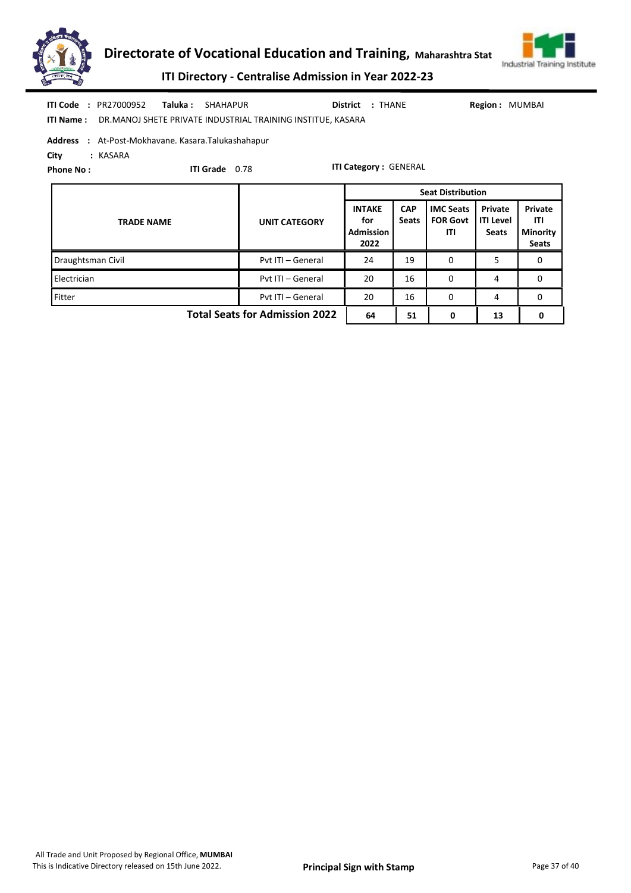



ITI Directory - Centralise Admission in Year 2022-23

| <b>ITI Code : PR27000952</b>                        | <b>Taluka:</b> SHAHAPUR                                                      | District : THANE | <b>Region: MUMBAI</b> |
|-----------------------------------------------------|------------------------------------------------------------------------------|------------------|-----------------------|
|                                                     | <b>ITI Name:</b> DR.MANOJ SHETE PRIVATE INDUSTRIAL TRAINING INSTITUE, KASARA |                  |                       |
| Address : At-Post-Mokhavane. Kasara. Talukashahapur |                                                                              |                  |                       |

City : KASARA

Phone No :

ITI Grade 0.78

|                                       |                      |                                                  | <b>Seat Distribution</b>   |                                            |                                             |                                                   |  |  |
|---------------------------------------|----------------------|--------------------------------------------------|----------------------------|--------------------------------------------|---------------------------------------------|---------------------------------------------------|--|--|
| <b>TRADE NAME</b>                     | <b>UNIT CATEGORY</b> | <b>INTAKE</b><br>for<br><b>Admission</b><br>2022 | <b>CAP</b><br><b>Seats</b> | <b>IMC Seats</b><br><b>FOR Govt</b><br>ITI | Private<br><b>ITI Level</b><br><b>Seats</b> | Private<br>ITI<br><b>Minority</b><br><b>Seats</b> |  |  |
| Draughtsman Civil                     | Pyt ITI - General    | 24                                               | 19                         | 0                                          | 5                                           | 0                                                 |  |  |
| Electrician                           | Pvt ITI - General    | 20                                               | 16                         | 0                                          | 4                                           | 0                                                 |  |  |
| Fitter                                | Pvt ITI - General    | 20                                               | 16                         | 0                                          | 4                                           | 0                                                 |  |  |
| <b>Total Seats for Admission 2022</b> | 64                   | 51                                               | 0                          | 13                                         |                                             |                                                   |  |  |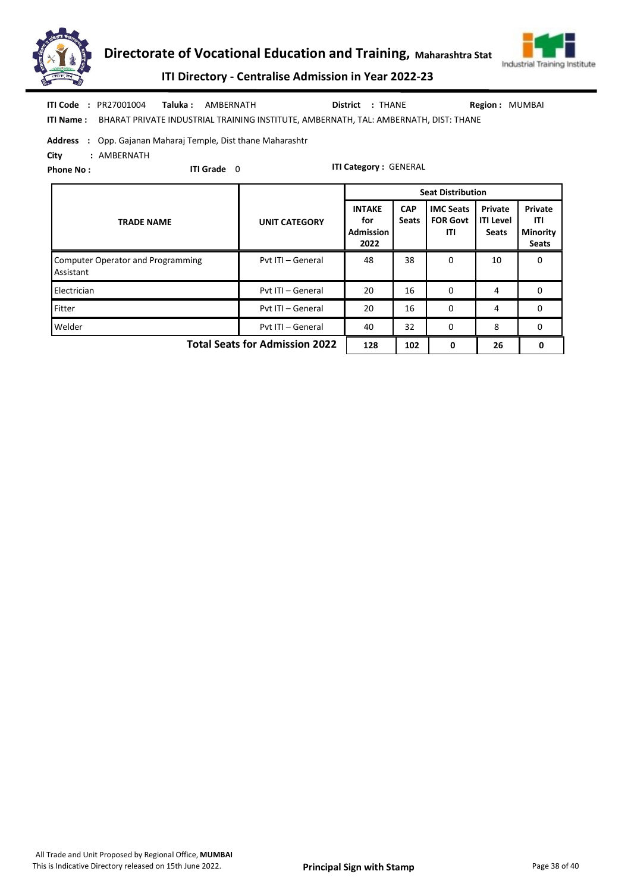



ITI Directory - Centralise Admission in Year 2022-23

| <b>ITI Code : PR27001004</b> | <b>Taluka:</b> AMBERNATH                                                                              | District : THANE | <b>Region: MUMBAI</b> |
|------------------------------|-------------------------------------------------------------------------------------------------------|------------------|-----------------------|
|                              | <b>ITI Name:</b> BHARAT PRIVATE INDUSTRIAL TRAINING INSTITUTE, AMBERNATH, TAL: AMBERNATH, DIST: THANE |                  |                       |

#### Address : Opp. Gajanan Maharaj Temple, Dist thane Maharashtr

City : AMBERNATH

Phone No :

ITI Grade 0

|                                                |                                       | <b>Seat Distribution</b>                         |                            |                                            |                                             |                                                   |
|------------------------------------------------|---------------------------------------|--------------------------------------------------|----------------------------|--------------------------------------------|---------------------------------------------|---------------------------------------------------|
| <b>TRADE NAME</b>                              | <b>UNIT CATEGORY</b>                  | <b>INTAKE</b><br>for<br><b>Admission</b><br>2022 | <b>CAP</b><br><b>Seats</b> | <b>IMC Seats</b><br><b>FOR Govt</b><br>ITI | Private<br><b>ITI Level</b><br><b>Seats</b> | Private<br>ITI<br><b>Minority</b><br><b>Seats</b> |
| Computer Operator and Programming<br>Assistant | Pvt ITI - General                     | 48                                               | 38                         | 0                                          | 10                                          | 0                                                 |
| Electrician                                    | Pyt ITI - General                     | 20                                               | 16                         | 0                                          | 4                                           | 0                                                 |
| Fitter                                         | Pyt ITI - General                     | 20                                               | 16                         | $\Omega$                                   | 4                                           | 0                                                 |
| Welder                                         | Pvt ITI - General                     | 40                                               | 32                         | 0                                          | 8                                           | 0                                                 |
|                                                | <b>Total Seats for Admission 2022</b> | 128                                              | 102                        | 0                                          | 26                                          | 0                                                 |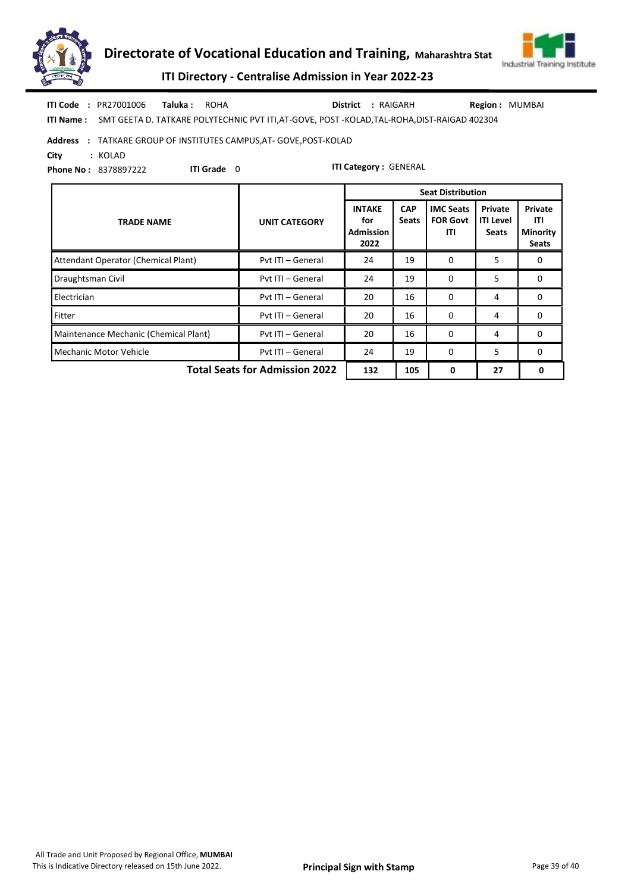



ITI Directory - Centralise Admission in Year 2022-23

ITI Name : SMT GEETA D. TATKARE POLYTECHNIC PVT ITI,AT-GOVE, POST -KOLAD,TAL-ROHA,DIST-RAIGAD 402304 Taluka : ROHA District : RAIGARH ITI Code : PR27001006 Taluka : ROHA **District** : RAIGARH Region : MUMBAI

#### Address : TATKARE GROUP OF INSTITUTES CAMPUS,AT- GOVE,POST-KOLAD

City : KOLAD

Phone No : 8378897222

ITI Grade 0

|                                       |                                       | <b>Seat Distribution</b>                         |                            |                                            |                                             |                                                   |
|---------------------------------------|---------------------------------------|--------------------------------------------------|----------------------------|--------------------------------------------|---------------------------------------------|---------------------------------------------------|
| <b>TRADE NAME</b>                     | <b>UNIT CATEGORY</b>                  | <b>INTAKE</b><br>for<br><b>Admission</b><br>2022 | <b>CAP</b><br><b>Seats</b> | <b>IMC Seats</b><br><b>FOR Govt</b><br>ITI | Private<br><b>ITI Level</b><br><b>Seats</b> | Private<br>ITI<br><b>Minority</b><br><b>Seats</b> |
| Attendant Operator (Chemical Plant)   | Pvt ITI - General                     | 24                                               | 19                         | 0                                          | 5                                           | 0                                                 |
| Draughtsman Civil                     | Pvt ITI - General                     | 24                                               | 19                         | 0                                          | 5                                           | 0                                                 |
| Electrician                           | Pvt ITI - General                     | 20                                               | 16                         | $\Omega$                                   | 4                                           | 0                                                 |
| Fitter                                | Pvt ITI - General                     | 20                                               | 16                         | 0                                          | 4                                           | 0                                                 |
| Maintenance Mechanic (Chemical Plant) | Pvt ITI - General                     | 20                                               | 16                         | $\Omega$                                   | 4                                           | $\Omega$                                          |
| Mechanic Motor Vehicle                | Pvt ITI - General                     | 24                                               | 19                         | 0                                          | 5                                           | 0                                                 |
|                                       | <b>Total Seats for Admission 2022</b> | 132                                              | 105                        | 0                                          | 27                                          | 0                                                 |